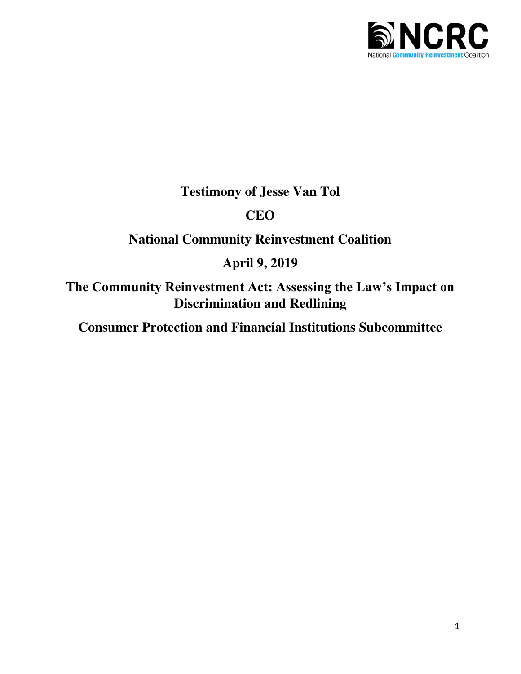

**Testimony of Jesse Van Tol** 

# **CEO**

# **National Community Reinvestment Coalition**

# **April 9, 2019**

**The Community Reinvestment Act: Assessing the Law's Impact on Discrimination and Redlining** 

**Consumer Protection and Financial Institutions Subcommittee**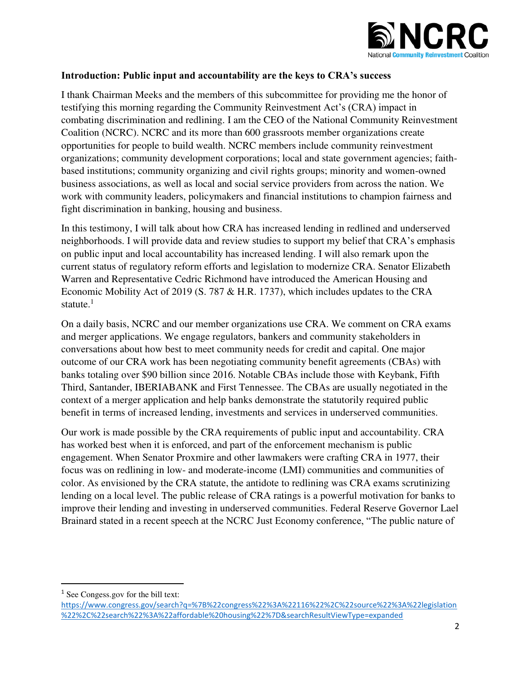

#### **Introduction: Public input and accountability are the keys to CRA's success**

I thank Chairman Meeks and the members of this subcommittee for providing me the honor of testifying this morning regarding the Community Reinvestment Act's (CRA) impact in combating discrimination and redlining. I am the CEO of the National Community Reinvestment Coalition (NCRC). NCRC and its more than 600 grassroots member organizations create opportunities for people to build wealth. NCRC members include community reinvestment organizations; community development corporations; local and state government agencies; faithbased institutions; community organizing and civil rights groups; minority and women-owned business associations, as well as local and social service providers from across the nation. We work with community leaders, policymakers and financial institutions to champion fairness and fight discrimination in banking, housing and business.

In this testimony, I will talk about how CRA has increased lending in redlined and underserved neighborhoods. I will provide data and review studies to support my belief that CRA's emphasis on public input and local accountability has increased lending. I will also remark upon the current status of regulatory reform efforts and legislation to modernize CRA. Senator Elizabeth Warren and Representative Cedric Richmond have introduced the American Housing and Economic Mobility Act of 2019 (S. 787 & H.R. 1737), which includes updates to the CRA statute. $<sup>1</sup>$ </sup>

On a daily basis, NCRC and our member organizations use CRA. We comment on CRA exams and merger applications. We engage regulators, bankers and community stakeholders in conversations about how best to meet community needs for credit and capital. One major outcome of our CRA work has been negotiating community benefit agreements (CBAs) with banks totaling over \$90 billion since 2016. Notable CBAs include those with Keybank, Fifth Third, Santander, IBERIABANK and First Tennessee. The CBAs are usually negotiated in the context of a merger application and help banks demonstrate the statutorily required public benefit in terms of increased lending, investments and services in underserved communities.

Our work is made possible by the CRA requirements of public input and accountability. CRA has worked best when it is enforced, and part of the enforcement mechanism is public engagement. When Senator Proxmire and other lawmakers were crafting CRA in 1977, their focus was on redlining in low- and moderate-income (LMI) communities and communities of color. As envisioned by the CRA statute, the antidote to redlining was CRA exams scrutinizing lending on a local level. The public release of CRA ratings is a powerful motivation for banks to improve their lending and investing in underserved communities. Federal Reserve Governor Lael Brainard stated in a recent speech at the NCRC Just Economy conference, "The public nature of

<sup>&</sup>lt;sup>1</sup> See Congess.gov for the bill text:

[https://www.congress.gov/search?q=%7B%22congress%22%3A%22116%22%2C%22source%22%3A%22legislation](https://www.congress.gov/search?q=%7B%22congress%22%3A%22116%22%2C%22source%22%3A%22legislation%22%2C%22search%22%3A%22affordable%20housing%22%7D&searchResultViewType=expanded) [%22%2C%22search%22%3A%22affordable%20housing%22%7D&searchResultViewType=expanded](https://www.congress.gov/search?q=%7B%22congress%22%3A%22116%22%2C%22source%22%3A%22legislation%22%2C%22search%22%3A%22affordable%20housing%22%7D&searchResultViewType=expanded)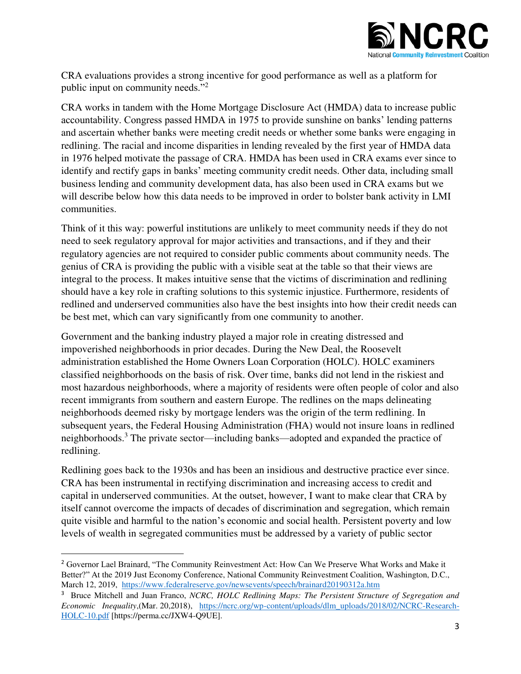

CRA evaluations provides a strong incentive for good performance as well as a platform for public input on community needs."<sup>2</sup>

CRA works in tandem with the Home Mortgage Disclosure Act (HMDA) data to increase public accountability. Congress passed HMDA in 1975 to provide sunshine on banks' lending patterns and ascertain whether banks were meeting credit needs or whether some banks were engaging in redlining. The racial and income disparities in lending revealed by the first year of HMDA data in 1976 helped motivate the passage of CRA. HMDA has been used in CRA exams ever since to identify and rectify gaps in banks' meeting community credit needs. Other data, including small business lending and community development data, has also been used in CRA exams but we will describe below how this data needs to be improved in order to bolster bank activity in LMI communities.

Think of it this way: powerful institutions are unlikely to meet community needs if they do not need to seek regulatory approval for major activities and transactions, and if they and their regulatory agencies are not required to consider public comments about community needs. The genius of CRA is providing the public with a visible seat at the table so that their views are integral to the process. It makes intuitive sense that the victims of discrimination and redlining should have a key role in crafting solutions to this systemic injustice. Furthermore, residents of redlined and underserved communities also have the best insights into how their credit needs can be best met, which can vary significantly from one community to another.

Government and the banking industry played a major role in creating distressed and impoverished neighborhoods in prior decades. During the New Deal, the Roosevelt administration established the Home Owners Loan Corporation (HOLC). HOLC examiners classified neighborhoods on the basis of risk. Over time, banks did not lend in the riskiest and most hazardous neighborhoods, where a majority of residents were often people of color and also recent immigrants from southern and eastern Europe. The redlines on the maps delineating neighborhoods deemed risky by mortgage lenders was the origin of the term redlining. In subsequent years, the Federal Housing Administration (FHA) would not insure loans in redlined neighborhoods.<sup>3</sup> The private sector—including banks—adopted and expanded the practice of redlining.

Redlining goes back to the 1930s and has been an insidious and destructive practice ever since. CRA has been instrumental in rectifying discrimination and increasing access to credit and capital in underserved communities. At the outset, however, I want to make clear that CRA by itself cannot overcome the impacts of decades of discrimination and segregation, which remain quite visible and harmful to the nation's economic and social health. Persistent poverty and low levels of wealth in segregated communities must be addressed by a variety of public sector

<sup>&</sup>lt;sup>2</sup> Governor Lael Brainard, "The Community Reinvestment Act: How Can We Preserve What Works and Make it Better?" At the 2019 Just Economy Conference, National Community Reinvestment Coalition, Washington, D.C., March 12, 2019, <https://www.federalreserve.gov/newsevents/speech/brainard20190312a.htm>

<sup>3</sup> Bruce Mitchell and Juan Franco, *NCRC, HOLC Redlining Maps: The Persistent Structure of Segregation and Economic Inequality*,(Mar. 20,2018), https://ncrc.org/wp-content/uploads/dlm\_uploads/2018/02/NCRC-Research-HOLC-10.pdf [https://perma.cc/JXW4-Q9UE].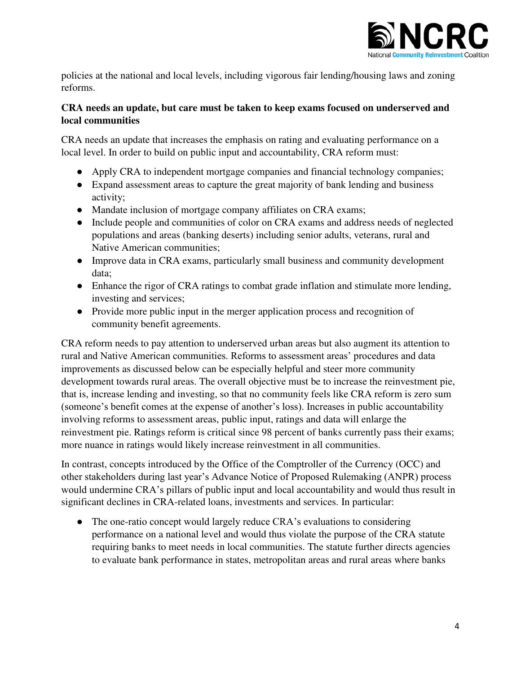

policies at the national and local levels, including vigorous fair lending/housing laws and zoning reforms.

## **CRA needs an update, but care must be taken to keep exams focused on underserved and local communities**

CRA needs an update that increases the emphasis on rating and evaluating performance on a local level. In order to build on public input and accountability, CRA reform must:

- Apply CRA to independent mortgage companies and financial technology companies;
- Expand assessment areas to capture the great majority of bank lending and business activity;
- Mandate inclusion of mortgage company affiliates on CRA exams;
- Include people and communities of color on CRA exams and address needs of neglected populations and areas (banking deserts) including senior adults, veterans, rural and Native American communities;
- Improve data in CRA exams, particularly small business and community development data;
- Enhance the rigor of CRA ratings to combat grade inflation and stimulate more lending, investing and services;
- Provide more public input in the merger application process and recognition of community benefit agreements.

CRA reform needs to pay attention to underserved urban areas but also augment its attention to rural and Native American communities. Reforms to assessment areas' procedures and data improvements as discussed below can be especially helpful and steer more community development towards rural areas. The overall objective must be to increase the reinvestment pie, that is, increase lending and investing, so that no community feels like CRA reform is zero sum (someone's benefit comes at the expense of another's loss). Increases in public accountability involving reforms to assessment areas, public input, ratings and data will enlarge the reinvestment pie. Ratings reform is critical since 98 percent of banks currently pass their exams; more nuance in ratings would likely increase reinvestment in all communities.

In contrast, concepts introduced by the Office of the Comptroller of the Currency (OCC) and other stakeholders during last year's Advance Notice of Proposed Rulemaking (ANPR) process would undermine CRA's pillars of public input and local accountability and would thus result in significant declines in CRA-related loans, investments and services. In particular:

• The one-ratio concept would largely reduce CRA's evaluations to considering performance on a national level and would thus violate the purpose of the CRA statute requiring banks to meet needs in local communities. The statute further directs agencies to evaluate bank performance in states, metropolitan areas and rural areas where banks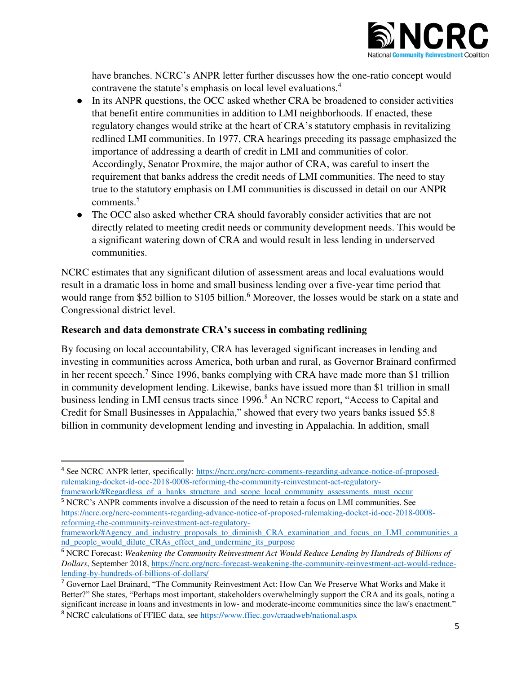

have branches. NCRC's ANPR letter further discusses how the one-ratio concept would contravene the statute's emphasis on local level evaluations.<sup>4</sup>

- In its ANPR questions, the OCC asked whether CRA be broadened to consider activities that benefit entire communities in addition to LMI neighborhoods. If enacted, these regulatory changes would strike at the heart of CRA's statutory emphasis in revitalizing redlined LMI communities. In 1977, CRA hearings preceding its passage emphasized the importance of addressing a dearth of credit in LMI and communities of color. Accordingly, Senator Proxmire, the major author of CRA, was careful to insert the requirement that banks address the credit needs of LMI communities. The need to stay true to the statutory emphasis on LMI communities is discussed in detail on our ANPR comments.<sup>5</sup>
- The OCC also asked whether CRA should favorably consider activities that are not directly related to meeting credit needs or community development needs. This would be a significant watering down of CRA and would result in less lending in underserved communities.

NCRC estimates that any significant dilution of assessment areas and local evaluations would result in a dramatic loss in home and small business lending over a five-year time period that would range from \$52 billion to \$105 billion.<sup>6</sup> Moreover, the losses would be stark on a state and Congressional district level.

### **Research and data demonstrate CRA's success in combating redlining**

 $\overline{a}$ 

By focusing on local accountability, CRA has leveraged significant increases in lending and investing in communities across America, both urban and rural, as Governor Brainard confirmed in her recent speech.<sup>7</sup> Since 1996, banks complying with CRA have made more than \$1 trillion in community development lending. Likewise, banks have issued more than \$1 trillion in small business lending in LMI census tracts since 1996.<sup>8</sup> An NCRC report, "Access to Capital and Credit for Small Businesses in Appalachia," showed that every two years banks issued \$5.8 billion in community development lending and investing in Appalachia. In addition, small

<sup>&</sup>lt;sup>4</sup> See NCRC ANPR letter, specifically: [https://ncrc.org/ncrc-comments-regarding-advance-notice-of-proposed](https://ncrc.org/ncrc-comments-regarding-advance-notice-of-proposed-rulemaking-docket-id-occ-2018-0008-reforming-the-community-reinvestment-act-regulatory-framework/#Regardless_of_a_banks_structure_and_scope_local_community_assessments_must_occur)[rulemaking-docket-id-occ-2018-0008-reforming-the-community-reinvestment-act-regulatory-](https://ncrc.org/ncrc-comments-regarding-advance-notice-of-proposed-rulemaking-docket-id-occ-2018-0008-reforming-the-community-reinvestment-act-regulatory-framework/#Regardless_of_a_banks_structure_and_scope_local_community_assessments_must_occur)

[framework/#Regardless\\_of\\_a\\_banks\\_structure\\_and\\_scope\\_local\\_community\\_assessments\\_must\\_occur](https://ncrc.org/ncrc-comments-regarding-advance-notice-of-proposed-rulemaking-docket-id-occ-2018-0008-reforming-the-community-reinvestment-act-regulatory-framework/#Regardless_of_a_banks_structure_and_scope_local_community_assessments_must_occur) <sup>5</sup> NCRC's ANPR comments involve a discussion of the need to retain a focus on LMI communities. See [https://ncrc.org/ncrc-comments-regarding-advance-notice-of-proposed-rulemaking-docket-id-occ-2018-0008](https://ncrc.org/ncrc-comments-regarding-advance-notice-of-proposed-rulemaking-docket-id-occ-2018-0008-reforming-the-community-reinvestment-act-regulatory-framework/#Agency_and_industry_proposals_to_diminish_CRA_examination_and_focus_on_LMI_communities_and_people_would_dilute_CRAs_effect_and_undermine_its_purpose) [reforming-the-community-reinvestment-act-regulatory-](https://ncrc.org/ncrc-comments-regarding-advance-notice-of-proposed-rulemaking-docket-id-occ-2018-0008-reforming-the-community-reinvestment-act-regulatory-framework/#Agency_and_industry_proposals_to_diminish_CRA_examination_and_focus_on_LMI_communities_and_people_would_dilute_CRAs_effect_and_undermine_its_purpose)

[framework/#Agency\\_and\\_industry\\_proposals\\_to\\_diminish\\_CRA\\_examination\\_and\\_focus\\_on\\_LMI\\_communities\\_a](https://ncrc.org/ncrc-comments-regarding-advance-notice-of-proposed-rulemaking-docket-id-occ-2018-0008-reforming-the-community-reinvestment-act-regulatory-framework/#Agency_and_industry_proposals_to_diminish_CRA_examination_and_focus_on_LMI_communities_and_people_would_dilute_CRAs_effect_and_undermine_its_purpose) nd people would dilute CRAs effect and undermine its purpose

<sup>6</sup> NCRC Forecast: *Weakening the Community Reinvestment Act Would Reduce Lending by Hundreds of Billions of Dollars*, September 2018, [https://ncrc.org/ncrc-forecast-weakening-the-community-reinvestment-act-would-reduce](https://ncrc.org/ncrc-forecast-weakening-the-community-reinvestment-act-would-reduce-lending-by-hundreds-of-billions-of-dollars/)[lending-by-hundreds-of-billions-of-dollars/](https://ncrc.org/ncrc-forecast-weakening-the-community-reinvestment-act-would-reduce-lending-by-hundreds-of-billions-of-dollars/)

<sup>7</sup> Governor Lael Brainard, "The Community Reinvestment Act: How Can We Preserve What Works and Make it Better?" She states, "Perhaps most important, stakeholders overwhelmingly support the CRA and its goals, noting a significant increase in loans and investments in low- and moderate-income communities since the law's enactment." <sup>8</sup> NCRC calculations of FFIEC data, see https://www.ffiec.gov/craadweb/national.aspx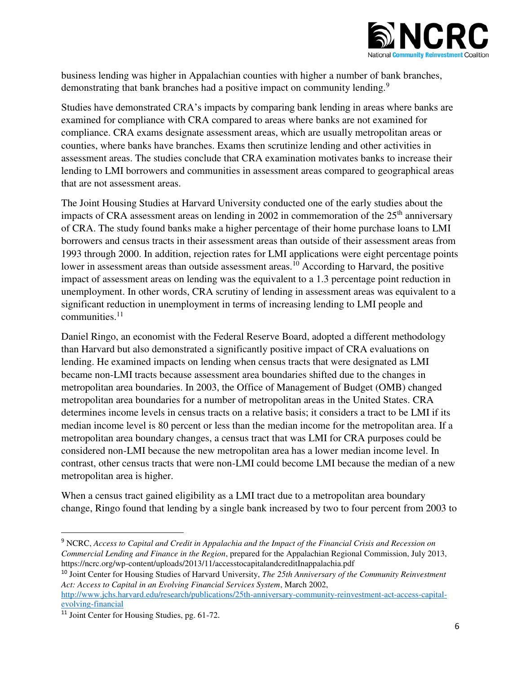

business lending was higher in Appalachian counties with higher a number of bank branches, demonstrating that bank branches had a positive impact on community lending.<sup>9</sup>

Studies have demonstrated CRA's impacts by comparing bank lending in areas where banks are examined for compliance with CRA compared to areas where banks are not examined for compliance. CRA exams designate assessment areas, which are usually metropolitan areas or counties, where banks have branches. Exams then scrutinize lending and other activities in assessment areas. The studies conclude that CRA examination motivates banks to increase their lending to LMI borrowers and communities in assessment areas compared to geographical areas that are not assessment areas.

The Joint Housing Studies at Harvard University conducted one of the early studies about the impacts of CRA assessment areas on lending in 2002 in commemoration of the  $25<sup>th</sup>$  anniversary of CRA. The study found banks make a higher percentage of their home purchase loans to LMI borrowers and census tracts in their assessment areas than outside of their assessment areas from 1993 through 2000. In addition, rejection rates for LMI applications were eight percentage points lower in assessment areas than outside assessment areas.<sup>10</sup> According to Harvard, the positive impact of assessment areas on lending was the equivalent to a 1.3 percentage point reduction in unemployment. In other words, CRA scrutiny of lending in assessment areas was equivalent to a significant reduction in unemployment in terms of increasing lending to LMI people and  $commu$ nities.<sup>11</sup>

Daniel Ringo, an economist with the Federal Reserve Board, adopted a different methodology than Harvard but also demonstrated a significantly positive impact of CRA evaluations on lending. He examined impacts on lending when census tracts that were designated as LMI became non-LMI tracts because assessment area boundaries shifted due to the changes in metropolitan area boundaries. In 2003, the Office of Management of Budget (OMB) changed metropolitan area boundaries for a number of metropolitan areas in the United States. CRA determines income levels in census tracts on a relative basis; it considers a tract to be LMI if its median income level is 80 percent or less than the median income for the metropolitan area. If a metropolitan area boundary changes, a census tract that was LMI for CRA purposes could be considered non-LMI because the new metropolitan area has a lower median income level. In contrast, other census tracts that were non-LMI could become LMI because the median of a new metropolitan area is higher.

When a census tract gained eligibility as a LMI tract due to a metropolitan area boundary change, Ringo found that lending by a single bank increased by two to four percent from 2003 to

<sup>9</sup> NCRC, *Access to Capital and Credit in Appalachia and the Impact of the Financial Crisis and Recession on Commercial Lending and Finance in the Region*, prepared for the Appalachian Regional Commission, July 2013, https://ncrc.org/wp-content/uploads/2013/11/accesstocapitalandcreditInappalachia.pdf

<sup>10</sup> Joint Center for Housing Studies of Harvard University, *The 25th Anniversary of the Community Reinvestment Act: Access to Capital in an Evolving Financial Services System*, March 2002,

[http://www.jchs.harvard.edu/research/publications/25th-anniversary-community-reinvestment-act-access-capital](http://www.jchs.harvard.edu/research/publications/25th-anniversary-community-reinvestment-act-access-capital-evolving-financial)[evolving-financial](http://www.jchs.harvard.edu/research/publications/25th-anniversary-community-reinvestment-act-access-capital-evolving-financial) 

<sup>11</sup> Joint Center for Housing Studies, pg. 61-72.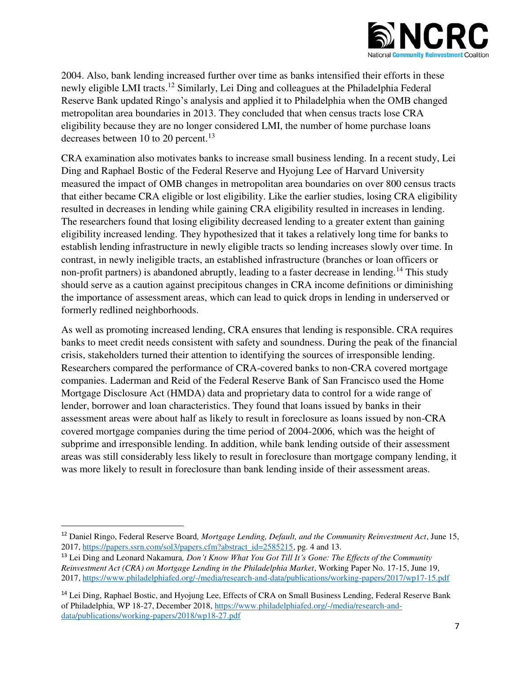

2004. Also, bank lending increased further over time as banks intensified their efforts in these newly eligible LMI tracts.<sup>12</sup> Similarly, Lei Ding and colleagues at the Philadelphia Federal Reserve Bank updated Ringo's analysis and applied it to Philadelphia when the OMB changed metropolitan area boundaries in 2013. They concluded that when census tracts lose CRA eligibility because they are no longer considered LMI, the number of home purchase loans decreases between 10 to 20 percent.<sup>13</sup>

CRA examination also motivates banks to increase small business lending. In a recent study, Lei Ding and Raphael Bostic of the Federal Reserve and Hyojung Lee of Harvard University measured the impact of OMB changes in metropolitan area boundaries on over 800 census tracts that either became CRA eligible or lost eligibility. Like the earlier studies, losing CRA eligibility resulted in decreases in lending while gaining CRA eligibility resulted in increases in lending. The researchers found that losing eligibility decreased lending to a greater extent than gaining eligibility increased lending. They hypothesized that it takes a relatively long time for banks to establish lending infrastructure in newly eligible tracts so lending increases slowly over time. In contrast, in newly ineligible tracts, an established infrastructure (branches or loan officers or non-profit partners) is abandoned abruptly, leading to a faster decrease in lending.<sup>14</sup> This study should serve as a caution against precipitous changes in CRA income definitions or diminishing the importance of assessment areas, which can lead to quick drops in lending in underserved or formerly redlined neighborhoods.

As well as promoting increased lending, CRA ensures that lending is responsible. CRA requires banks to meet credit needs consistent with safety and soundness. During the peak of the financial crisis, stakeholders turned their attention to identifying the sources of irresponsible lending. Researchers compared the performance of CRA-covered banks to non-CRA covered mortgage companies. Laderman and Reid of the Federal Reserve Bank of San Francisco used the Home Mortgage Disclosure Act (HMDA) data and proprietary data to control for a wide range of lender, borrower and loan characteristics. They found that loans issued by banks in their assessment areas were about half as likely to result in foreclosure as loans issued by non-CRA covered mortgage companies during the time period of 2004-2006, which was the height of subprime and irresponsible lending. In addition, while bank lending outside of their assessment areas was still considerably less likely to result in foreclosure than mortgage company lending, it was more likely to result in foreclosure than bank lending inside of their assessment areas.

<sup>12</sup> Daniel Ringo, Federal Reserve Board*, Mortgage Lending, Default, and the Community Reinvestment Act*, June 15, 2017, [https://papers.ssrn.com/sol3/papers.cfm?abstract\\_id=2585215,](https://papers.ssrn.com/sol3/papers.cfm?abstract_id=2585215) pg. 4 and 13.

<sup>13</sup> Lei Ding and Leonard Nakamura*, Don't Know What You Got Till It's Gone: The Effects of the Community Reinvestment Act (CRA) on Mortgage Lending in the Philadelphia Market*, Working Paper No. 17-15, June 19, 2017,<https://www.philadelphiafed.org/-/media/research-and-data/publications/working-papers/2017/wp17-15.pdf>

<sup>&</sup>lt;sup>14</sup> Lei Ding, Raphael Bostic, and Hyojung Lee, Effects of CRA on Small Business Lending, Federal Reserve Bank of Philadelphia, WP 18-27, December 2018, [https://www.philadelphiafed.org/-/media/research-and](https://www.philadelphiafed.org/-/media/research-and-data/publications/working-papers/2018/wp18-27.pdf)[data/publications/working-papers/2018/wp18-27.pdf](https://www.philadelphiafed.org/-/media/research-and-data/publications/working-papers/2018/wp18-27.pdf)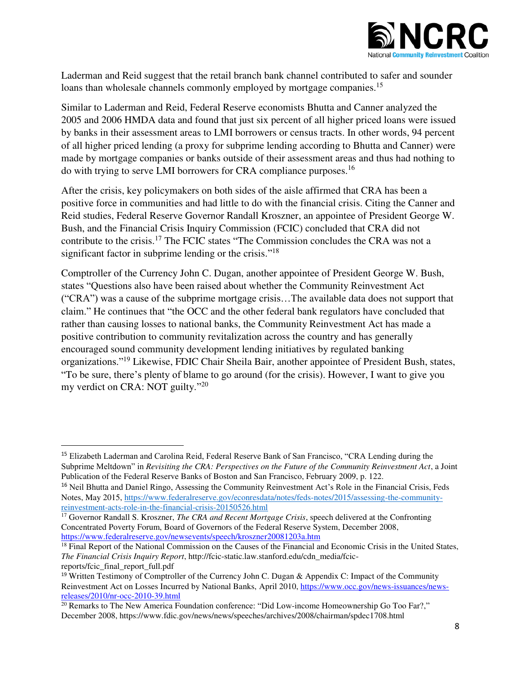

Laderman and Reid suggest that the retail branch bank channel contributed to safer and sounder loans than wholesale channels commonly employed by mortgage companies.<sup>15</sup>

Similar to Laderman and Reid, Federal Reserve economists Bhutta and Canner analyzed the 2005 and 2006 HMDA data and found that just six percent of all higher priced loans were issued by banks in their assessment areas to LMI borrowers or census tracts. In other words, 94 percent of all higher priced lending (a proxy for subprime lending according to Bhutta and Canner) were made by mortgage companies or banks outside of their assessment areas and thus had nothing to do with trying to serve LMI borrowers for CRA compliance purposes.<sup>16</sup>

After the crisis, key policymakers on both sides of the aisle affirmed that CRA has been a positive force in communities and had little to do with the financial crisis. Citing the Canner and Reid studies, Federal Reserve Governor Randall Kroszner, an appointee of President George W. Bush, and the Financial Crisis Inquiry Commission (FCIC) concluded that CRA did not contribute to the crisis.<sup>17</sup> The FCIC states "The Commission concludes the CRA was not a significant factor in subprime lending or the crisis."<sup>18</sup>

Comptroller of the Currency John C. Dugan, another appointee of President George W. Bush, states "Questions also have been raised about whether the Community Reinvestment Act ("CRA") was a cause of the subprime mortgage crisis…The available data does not support that claim." He continues that "the OCC and the other federal bank regulators have concluded that rather than causing losses to national banks, the Community Reinvestment Act has made a positive contribution to community revitalization across the country and has generally encouraged sound community development lending initiatives by regulated banking organizations."<sup>19</sup> Likewise, FDIC Chair Sheila Bair, another appointee of President Bush, states, "To be sure, there's plenty of blame to go around (for the crisis). However, I want to give you my verdict on CRA: NOT guilty."<sup>20</sup>

 $\overline{a}$ 

<sup>15</sup> Elizabeth Laderman and Carolina Reid, Federal Reserve Bank of San Francisco, "CRA Lending during the Subprime Meltdown" in *Revisiting the CRA: Perspectives on the Future of the Community Reinvestment Act*, a Joint Publication of the Federal Reserve Banks of Boston and San Francisco, February 2009, p. 122.

<sup>&</sup>lt;sup>16</sup> Neil Bhutta and Daniel Ringo, Assessing the Community Reinvestment Act's Role in the Financial Crisis, Feds Notes, May 2015, [https://www.federalreserve.gov/econresdata/notes/feds-notes/2015/assessing-the-community](https://www.federalreserve.gov/econresdata/notes/feds-notes/2015/assessing-the-community-reinvestment-acts-role-in-the-financial-crisis-20150526.html)[reinvestment-acts-role-in-the-financial-crisis-20150526.html](https://www.federalreserve.gov/econresdata/notes/feds-notes/2015/assessing-the-community-reinvestment-acts-role-in-the-financial-crisis-20150526.html) 

<sup>&</sup>lt;sup>17</sup> Governor Randall S. Kroszner, *The CRA and Recent Mortgage Crisis*, speech delivered at the Confronting Concentrated Poverty Forum, Board of Governors of the Federal Reserve System, December 2008, <https://www.federalreserve.gov/newsevents/speech/kroszner20081203a.htm>

<sup>&</sup>lt;sup>18</sup> Final Report of the National Commission on the Causes of the Financial and Economic Crisis in the United States, *The Financial Crisis Inquiry Report*, http://fcic-static.law.stanford.edu/cdn\_media/fcicreports/fcic\_final\_report\_full.pdf

<sup>&</sup>lt;sup>19</sup> Written Testimony of Comptroller of the Currency John C. Dugan & Appendix C: Impact of the Community Reinvestment Act on Losses Incurred by National Banks, April 2010, [https://www.occ.gov/news-issuances/news](https://www.occ.gov/news-issuances/news-releases/2010/nr-occ-2010-39.html)[releases/2010/nr-occ-2010-39.html](https://www.occ.gov/news-issuances/news-releases/2010/nr-occ-2010-39.html)

 $20$  Remarks to The New America Foundation conference: "Did Low-income Homeownership Go Too Far?," December 2008, https://www.fdic.gov/news/news/speeches/archives/2008/chairman/spdec1708.html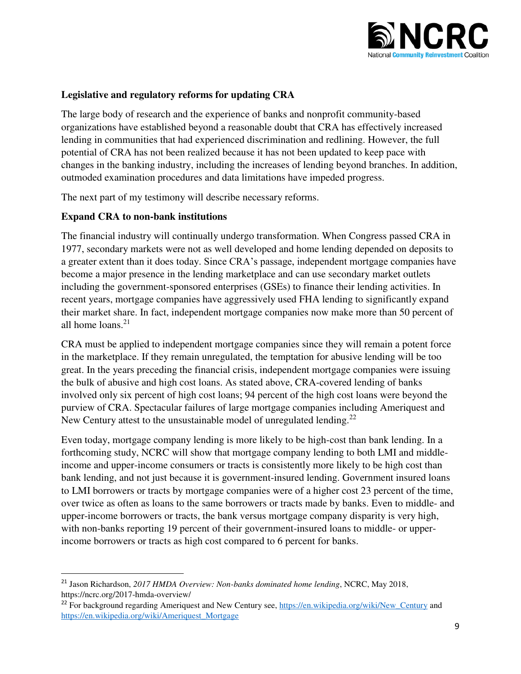

#### **Legislative and regulatory reforms for updating CRA**

The large body of research and the experience of banks and nonprofit community-based organizations have established beyond a reasonable doubt that CRA has effectively increased lending in communities that had experienced discrimination and redlining. However, the full potential of CRA has not been realized because it has not been updated to keep pace with changes in the banking industry, including the increases of lending beyond branches. In addition, outmoded examination procedures and data limitations have impeded progress.

The next part of my testimony will describe necessary reforms.

#### **Expand CRA to non-bank institutions**

l

The financial industry will continually undergo transformation. When Congress passed CRA in 1977, secondary markets were not as well developed and home lending depended on deposits to a greater extent than it does today. Since CRA's passage, independent mortgage companies have become a major presence in the lending marketplace and can use secondary market outlets including the government-sponsored enterprises (GSEs) to finance their lending activities. In recent years, mortgage companies have aggressively used FHA lending to significantly expand their market share. In fact, independent mortgage companies now make more than 50 percent of all home loans. $21$ 

CRA must be applied to independent mortgage companies since they will remain a potent force in the marketplace. If they remain unregulated, the temptation for abusive lending will be too great. In the years preceding the financial crisis, independent mortgage companies were issuing the bulk of abusive and high cost loans. As stated above, CRA-covered lending of banks involved only six percent of high cost loans; 94 percent of the high cost loans were beyond the purview of CRA. Spectacular failures of large mortgage companies including Ameriquest and New Century attest to the unsustainable model of unregulated lending.<sup>22</sup>

Even today, mortgage company lending is more likely to be high-cost than bank lending. In a forthcoming study, NCRC will show that mortgage company lending to both LMI and middleincome and upper-income consumers or tracts is consistently more likely to be high cost than bank lending, and not just because it is government-insured lending. Government insured loans to LMI borrowers or tracts by mortgage companies were of a higher cost 23 percent of the time, over twice as often as loans to the same borrowers or tracts made by banks. Even to middle- and upper-income borrowers or tracts, the bank versus mortgage company disparity is very high, with non-banks reporting 19 percent of their government-insured loans to middle- or upperincome borrowers or tracts as high cost compared to 6 percent for banks.

<sup>21</sup> Jason Richardson, *2017 HMDA Overview: Non-banks dominated home lending*, NCRC, May 2018, https://ncrc.org/2017-hmda-overview/

<sup>&</sup>lt;sup>22</sup> For background regarding Ameriquest and New Century see, [https://en.wikipedia.org/wiki/New\\_Century](https://en.wikipedia.org/wiki/New_Century) and https://en.wikipedia.org/wiki/Ameriquest\_Mortgage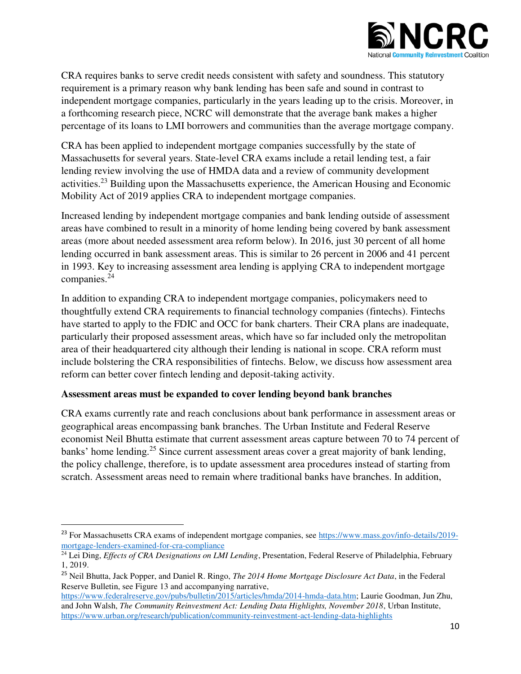

CRA requires banks to serve credit needs consistent with safety and soundness. This statutory requirement is a primary reason why bank lending has been safe and sound in contrast to independent mortgage companies, particularly in the years leading up to the crisis. Moreover, in a forthcoming research piece, NCRC will demonstrate that the average bank makes a higher percentage of its loans to LMI borrowers and communities than the average mortgage company.

CRA has been applied to independent mortgage companies successfully by the state of Massachusetts for several years. State-level CRA exams include a retail lending test, a fair lending review involving the use of HMDA data and a review of community development activities.<sup>23</sup> Building upon the Massachusetts experience, the American Housing and Economic Mobility Act of 2019 applies CRA to independent mortgage companies.

Increased lending by independent mortgage companies and bank lending outside of assessment areas have combined to result in a minority of home lending being covered by bank assessment areas (more about needed assessment area reform below). In 2016, just 30 percent of all home lending occurred in bank assessment areas. This is similar to 26 percent in 2006 and 41 percent in 1993. Key to increasing assessment area lending is applying CRA to independent mortgage companies.<sup>24</sup>

In addition to expanding CRA to independent mortgage companies, policymakers need to thoughtfully extend CRA requirements to financial technology companies (fintechs). Fintechs have started to apply to the FDIC and OCC for bank charters. Their CRA plans are inadequate, particularly their proposed assessment areas, which have so far included only the metropolitan area of their headquartered city although their lending is national in scope. CRA reform must include bolstering the CRA responsibilities of fintechs. Below, we discuss how assessment area reform can better cover fintech lending and deposit-taking activity.

#### **Assessment areas must be expanded to cover lending beyond bank branches**

l

CRA exams currently rate and reach conclusions about bank performance in assessment areas or geographical areas encompassing bank branches. The Urban Institute and Federal Reserve economist Neil Bhutta estimate that current assessment areas capture between 70 to 74 percent of banks' home lending.<sup>25</sup> Since current assessment areas cover a great majority of bank lending, the policy challenge, therefore, is to update assessment area procedures instead of starting from scratch. Assessment areas need to remain where traditional banks have branches. In addition,

<sup>&</sup>lt;sup>23</sup> For Massachusetts CRA exams of independent mortgage companies, see [https://www.mass.gov/info-details/2019](https://www.mass.gov/info-details/2019-mortgage-lenders-examined-for-cra-compliance) [mortgage-lenders-examined-for-cra-compliance](https://www.mass.gov/info-details/2019-mortgage-lenders-examined-for-cra-compliance) 

<sup>&</sup>lt;sup>24</sup> Lei Ding, *Effects of CRA Designations on LMI Lending*, Presentation, Federal Reserve of Philadelphia, February 1, 2019.

<sup>25</sup> Neil Bhutta, Jack Popper, and Daniel R. Ringo, *The 2014 Home Mortgage Disclosure Act Data*, in the Federal Reserve Bulletin, see Figure 13 and accompanying narrative,

[https://www.federalreserve.gov/pubs/bulletin/2015/articles/hmda/2014-hmda-data.htm;](https://www.federalreserve.gov/pubs/bulletin/2015/articles/hmda/2014-hmda-data.htm) Laurie Goodman, Jun Zhu, and John Walsh, *The Community Reinvestment Act: Lending Data Highlights, November 2018*, Urban Institute, <https://www.urban.org/research/publication/community-reinvestment-act-lending-data-highlights>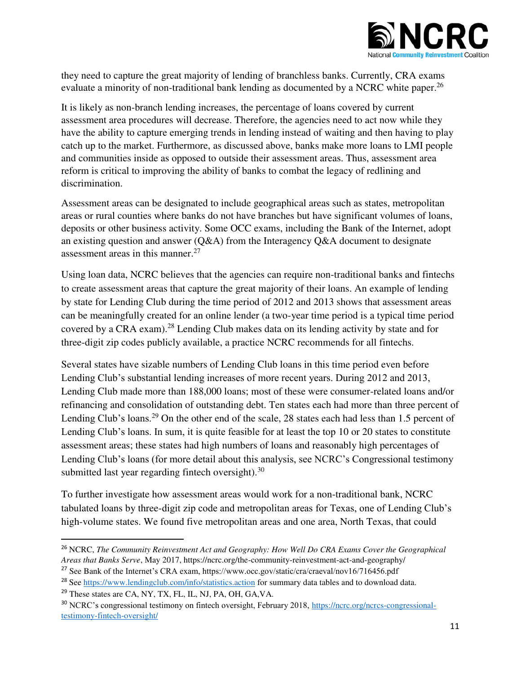

they need to capture the great majority of lending of branchless banks. Currently, CRA exams evaluate a minority of non-traditional bank lending as documented by a NCRC white paper.<sup>26</sup>

It is likely as non-branch lending increases, the percentage of loans covered by current assessment area procedures will decrease. Therefore, the agencies need to act now while they have the ability to capture emerging trends in lending instead of waiting and then having to play catch up to the market. Furthermore, as discussed above, banks make more loans to LMI people and communities inside as opposed to outside their assessment areas. Thus, assessment area reform is critical to improving the ability of banks to combat the legacy of redlining and discrimination.

Assessment areas can be designated to include geographical areas such as states, metropolitan areas or rural counties where banks do not have branches but have significant volumes of loans, deposits or other business activity. Some OCC exams, including the Bank of the Internet, adopt an existing question and answer (Q&A) from the Interagency Q&A document to designate assessment areas in this manner.<sup>27</sup>

Using loan data, NCRC believes that the agencies can require non-traditional banks and fintechs to create assessment areas that capture the great majority of their loans. An example of lending by state for Lending Club during the time period of 2012 and 2013 shows that assessment areas can be meaningfully created for an online lender (a two-year time period is a typical time period covered by a CRA exam).<sup>28</sup> Lending Club makes data on its lending activity by state and for three-digit zip codes publicly available, a practice NCRC recommends for all fintechs.

Several states have sizable numbers of Lending Club loans in this time period even before Lending Club's substantial lending increases of more recent years. During 2012 and 2013, Lending Club made more than 188,000 loans; most of these were consumer-related loans and/or refinancing and consolidation of outstanding debt. Ten states each had more than three percent of Lending Club's loans.<sup>29</sup> On the other end of the scale, 28 states each had less than 1.5 percent of Lending Club's loans. In sum, it is quite feasible for at least the top 10 or 20 states to constitute assessment areas; these states had high numbers of loans and reasonably high percentages of Lending Club's loans (for more detail about this analysis, see NCRC's Congressional testimony submitted last year regarding fintech oversight). $30$ 

To further investigate how assessment areas would work for a non-traditional bank, NCRC tabulated loans by three-digit zip code and metropolitan areas for Texas, one of Lending Club's high-volume states. We found five metropolitan areas and one area, North Texas, that could

<sup>26</sup> NCRC, *The Community Reinvestment Act and Geography: How Well Do CRA Exams Cover the Geographical Areas that Banks Serve*, May 2017, https://ncrc.org/the-community-reinvestment-act-and-geography/

<sup>27</sup> See Bank of the Internet's CRA exam, https://www.occ.gov/static/cra/craeval/nov16/716456.pdf

<sup>&</sup>lt;sup>28</sup> See<https://www.lendingclub.com/info/statistics.action>for summary data tables and to download data.

<sup>29</sup> These states are CA, NY, TX, FL, IL, NJ, PA, OH, GA,VA.

<sup>30</sup> NCRC's congressional testimony on fintech oversight, February 2018, [https://ncrc.org/ncrcs-congressional](https://ncrc.org/ncrcs-congressional-testimony-fintech-oversight/)[testimony-fintech-oversight/](https://ncrc.org/ncrcs-congressional-testimony-fintech-oversight/)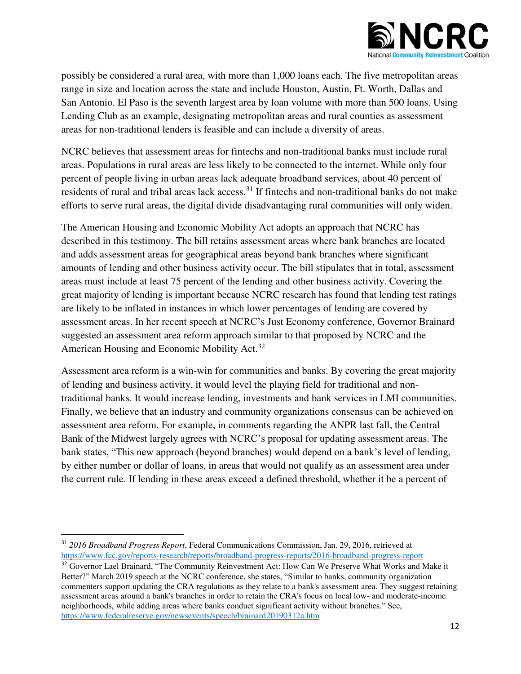

possibly be considered a rural area, with more than 1,000 loans each. The five metropolitan areas range in size and location across the state and include Houston, Austin, Ft. Worth, Dallas and San Antonio. El Paso is the seventh largest area by loan volume with more than 500 loans. Using Lending Club as an example, designating metropolitan areas and rural counties as assessment areas for non-traditional lenders is feasible and can include a diversity of areas.

NCRC believes that assessment areas for fintechs and non-traditional banks must include rural areas. Populations in rural areas are less likely to be connected to the internet. While only four percent of people living in urban areas lack adequate broadband services, about 40 percent of residents of rural and tribal areas lack access.<sup>31</sup> If fintechs and non-traditional banks do not make efforts to serve rural areas, the digital divide disadvantaging rural communities will only widen.

The American Housing and Economic Mobility Act adopts an approach that NCRC has described in this testimony. The bill retains assessment areas where bank branches are located and adds assessment areas for geographical areas beyond bank branches where significant amounts of lending and other business activity occur. The bill stipulates that in total, assessment areas must include at least 75 percent of the lending and other business activity. Covering the great majority of lending is important because NCRC research has found that lending test ratings are likely to be inflated in instances in which lower percentages of lending are covered by assessment areas. In her recent speech at NCRC's Just Economy conference, Governor Brainard suggested an assessment area reform approach similar to that proposed by NCRC and the American Housing and Economic Mobility Act.<sup>32</sup>

Assessment area reform is a win-win for communities and banks. By covering the great majority of lending and business activity, it would level the playing field for traditional and nontraditional banks. It would increase lending, investments and bank services in LMI communities. Finally, we believe that an industry and community organizations consensus can be achieved on assessment area reform. For example, in comments regarding the ANPR last fall, the Central Bank of the Midwest largely agrees with NCRC's proposal for updating assessment areas. The bank states, "This new approach (beyond branches) would depend on a bank's level of lending, by either number or dollar of loans, in areas that would not qualify as an assessment area under the current rule. If lending in these areas exceed a defined threshold, whether it be a percent of

<sup>31</sup> *2016 Broadband Progress Report*, Federal Communications Commission, Jan. 29, 2016, retrieved at <https://www.fcc.gov/reports-research/reports/broadband-progress-reports/2016-broadband-progress-report>

<sup>&</sup>lt;sup>32</sup> Governor Lael Brainard, "The Community Reinvestment Act: How Can We Preserve What Works and Make it Better?" March 2019 speech at the NCRC conference, she states, "Similar to banks, community organization commenters support updating the CRA regulations as they relate to a bank's assessment area. They suggest retaining assessment areas around a bank's branches in order to retain the CRA's focus on local low- and moderate-income neighborhoods, while adding areas where banks conduct significant activity without branches." See, <https://www.federalreserve.gov/newsevents/speech/brainard20190312a.htm>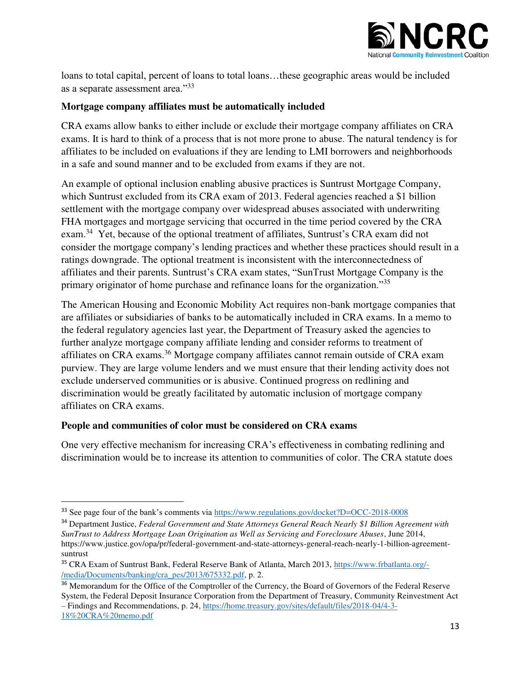

loans to total capital, percent of loans to total loans…these geographic areas would be included as a separate assessment area."<sup>33</sup>

### **Mortgage company affiliates must be automatically included**

CRA exams allow banks to either include or exclude their mortgage company affiliates on CRA exams. It is hard to think of a process that is not more prone to abuse. The natural tendency is for affiliates to be included on evaluations if they are lending to LMI borrowers and neighborhoods in a safe and sound manner and to be excluded from exams if they are not.

An example of optional inclusion enabling abusive practices is Suntrust Mortgage Company, which Suntrust excluded from its CRA exam of 2013. Federal agencies reached a \$1 billion settlement with the mortgage company over widespread abuses associated with underwriting FHA mortgages and mortgage servicing that occurred in the time period covered by the CRA exam.<sup>34</sup> Yet, because of the optional treatment of affiliates, Suntrust's CRA exam did not consider the mortgage company's lending practices and whether these practices should result in a ratings downgrade. The optional treatment is inconsistent with the interconnectedness of affiliates and their parents. Suntrust's CRA exam states, "SunTrust Mortgage Company is the primary originator of home purchase and refinance loans for the organization."<sup>35</sup>

The American Housing and Economic Mobility Act requires non-bank mortgage companies that are affiliates or subsidiaries of banks to be automatically included in CRA exams. In a memo to the federal regulatory agencies last year, the Department of Treasury asked the agencies to further analyze mortgage company affiliate lending and consider reforms to treatment of affiliates on CRA exams.<sup>36</sup> Mortgage company affiliates cannot remain outside of CRA exam purview. They are large volume lenders and we must ensure that their lending activity does not exclude underserved communities or is abusive. Continued progress on redlining and discrimination would be greatly facilitated by automatic inclusion of mortgage company affiliates on CRA exams.

### **People and communities of color must be considered on CRA exams**

l

One very effective mechanism for increasing CRA's effectiveness in combating redlining and discrimination would be to increase its attention to communities of color. The CRA statute does

<sup>&</sup>lt;sup>33</sup> See page four of the bank's comments via <https://www.regulations.gov/docket?D=OCC-2018-0008>

<sup>34</sup> Department Justice, *Federal Government and State Attorneys General Reach Nearly \$1 Billion Agreement with SunTrust to Address Mortgage Loan Origination as Well as Servicing and Foreclosure Abuses*, June 2014, https://www.justice.gov/opa/pr/federal-government-and-state-attorneys-general-reach-nearly-1-billion-agreementsuntrust

<sup>35</sup> CRA Exam of Suntrust Bank, Federal Reserve Bank of Atlanta, March 2013, [https://www.frbatlanta.org/-](https://www.frbatlanta.org/-/media/Documents/banking/cra_pes/2013/675332.pdf) [/media/Documents/banking/cra\\_pes/2013/675332.pdf,](https://www.frbatlanta.org/-/media/Documents/banking/cra_pes/2013/675332.pdf) p. 2.

<sup>&</sup>lt;sup>36</sup> Memorandum for the Office of the Comptroller of the Currency, the Board of Governors of the Federal Reserve System, the Federal Deposit Insurance Corporation from the Department of Treasury, Community Reinvestment Act – Findings and Recommendations, p. 24[, https://home.treasury.gov/sites/default/files/2018-04/4-3-](https://home.treasury.gov/sites/default/files/2018-04/4-3-18%20CRA%20memo.pdf) [18%20CRA%20memo.pdf](https://home.treasury.gov/sites/default/files/2018-04/4-3-18%20CRA%20memo.pdf)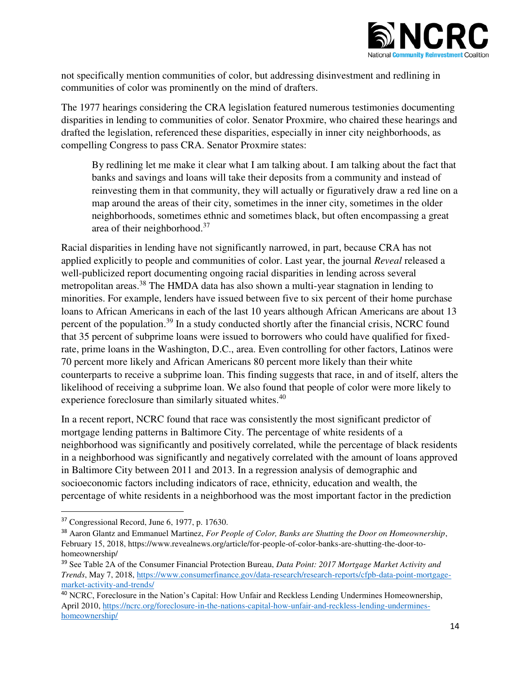

not specifically mention communities of color, but addressing disinvestment and redlining in communities of color was prominently on the mind of drafters.

The 1977 hearings considering the CRA legislation featured numerous testimonies documenting disparities in lending to communities of color. Senator Proxmire, who chaired these hearings and drafted the legislation, referenced these disparities, especially in inner city neighborhoods, as compelling Congress to pass CRA. Senator Proxmire states:

By redlining let me make it clear what I am talking about. I am talking about the fact that banks and savings and loans will take their deposits from a community and instead of reinvesting them in that community, they will actually or figuratively draw a red line on a map around the areas of their city, sometimes in the inner city, sometimes in the older neighborhoods, sometimes ethnic and sometimes black, but often encompassing a great area of their neighborhood.<sup>37</sup>

Racial disparities in lending have not significantly narrowed, in part, because CRA has not applied explicitly to people and communities of color. Last year, the journal *Reveal* released a well-publicized report documenting ongoing racial disparities in lending across several metropolitan areas.<sup>38</sup> The HMDA data has also shown a multi-year stagnation in lending to minorities. For example, lenders have issued between five to six percent of their home purchase loans to African Americans in each of the last 10 years although African Americans are about 13 percent of the population.<sup>39</sup> In a study conducted shortly after the financial crisis, NCRC found that 35 percent of subprime loans were issued to borrowers who could have qualified for fixedrate, prime loans in the Washington, D.C., area. Even controlling for other factors, Latinos were 70 percent more likely and African Americans 80 percent more likely than their white counterparts to receive a subprime loan. This finding suggests that race, in and of itself, alters the likelihood of receiving a subprime loan. We also found that people of color were more likely to experience foreclosure than similarly situated whites.<sup>40</sup>

In a recent report, NCRC found that race was consistently the most significant predictor of mortgage lending patterns in Baltimore City. The percentage of white residents of a neighborhood was significantly and positively correlated, while the percentage of black residents in a neighborhood was significantly and negatively correlated with the amount of loans approved in Baltimore City between 2011 and 2013. In a regression analysis of demographic and socioeconomic factors including indicators of race, ethnicity, education and wealth, the percentage of white residents in a neighborhood was the most important factor in the prediction

<sup>37</sup> Congressional Record, June 6, 1977, p. 17630.

<sup>38</sup> Aaron Glantz and Emmanuel Martinez, *For People of Color, Banks are Shutting the Door on Homeownership*, February 15, 2018, https://www.revealnews.org/article/for-people-of-color-banks-are-shutting-the-door-tohomeownership/

<sup>39</sup> See Table 2A of the Consumer Financial Protection Bureau, *Data Point: 2017 Mortgage Market Activity and Trends*, May 7, 2018[, https://www.consumerfinance.gov/data-research/research-reports/cfpb-data-point-mortgage](https://www.consumerfinance.gov/data-research/research-reports/cfpb-data-point-mortgage-market-activity-and-trends/)[market-activity-and-trends/](https://www.consumerfinance.gov/data-research/research-reports/cfpb-data-point-mortgage-market-activity-and-trends/) 

<sup>40</sup> NCRC, Foreclosure in the Nation's Capital: How Unfair and Reckless Lending Undermines Homeownership, April 2010[, https://ncrc.org/foreclosure-in-the-nations-capital-how-unfair-and-reckless-lending-undermines](https://ncrc.org/foreclosure-in-the-nations-capital-how-unfair-and-reckless-lending-undermines-homeownership/)[homeownership/](https://ncrc.org/foreclosure-in-the-nations-capital-how-unfair-and-reckless-lending-undermines-homeownership/)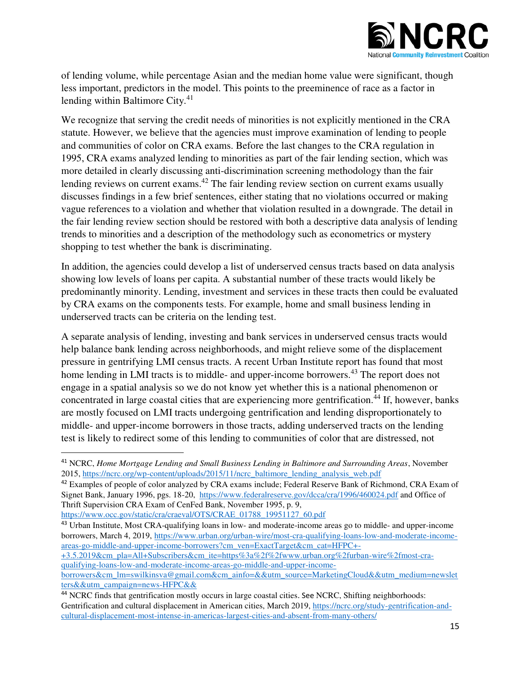

of lending volume, while percentage Asian and the median home value were significant, though less important, predictors in the model. This points to the preeminence of race as a factor in lending within Baltimore City. $41$ 

We recognize that serving the credit needs of minorities is not explicitly mentioned in the CRA statute. However, we believe that the agencies must improve examination of lending to people and communities of color on CRA exams. Before the last changes to the CRA regulation in 1995, CRA exams analyzed lending to minorities as part of the fair lending section, which was more detailed in clearly discussing anti-discrimination screening methodology than the fair lending reviews on current exams.<sup>42</sup> The fair lending review section on current exams usually discusses findings in a few brief sentences, either stating that no violations occurred or making vague references to a violation and whether that violation resulted in a downgrade. The detail in the fair lending review section should be restored with both a descriptive data analysis of lending trends to minorities and a description of the methodology such as econometrics or mystery shopping to test whether the bank is discriminating.

In addition, the agencies could develop a list of underserved census tracts based on data analysis showing low levels of loans per capita. A substantial number of these tracts would likely be predominantly minority. Lending, investment and services in these tracts then could be evaluated by CRA exams on the components tests. For example, home and small business lending in underserved tracts can be criteria on the lending test.

A separate analysis of lending, investing and bank services in underserved census tracts would help balance bank lending across neighborhoods, and might relieve some of the displacement pressure in gentrifying LMI census tracts. A recent Urban Institute report has found that most home lending in LMI tracts is to middle- and upper-income borrowers.<sup>43</sup> The report does not engage in a spatial analysis so we do not know yet whether this is a national phenomenon or concentrated in large coastal cities that are experiencing more gentrification.<sup>44</sup> If, however, banks are mostly focused on LMI tracts undergoing gentrification and lending disproportionately to middle- and upper-income borrowers in those tracts, adding underserved tracts on the lending test is likely to redirect some of this lending to communities of color that are distressed, not

<sup>42</sup> Examples of people of color analyzed by CRA exams include; Federal Reserve Bank of Richmond, CRA Exam of Signet Bank, January 1996, pgs. 18-20,<https://www.federalreserve.gov/dcca/cra/1996/460024.pdf>and Office of Thrift Supervision CRA Exam of CenFed Bank, November 1995, p. 9,

[https://www.occ.gov/static/cra/craeval/OTS/CRAE\\_01788\\_19951127\\_60.pdf](https://www.occ.gov/static/cra/craeval/OTS/CRAE_01788_19951127_60.pdf) 

l

<sup>43</sup> Urban Institute, Most CRA-qualifying loans in low- and moderate-income areas go to middle- and upper-income borrowers, March 4, 2019, [https://www.urban.org/urban-wire/most-cra-qualifying-loans-low-and-moderate-income](https://www.urban.org/urban-wire/most-cra-qualifying-loans-low-and-moderate-income-areas-go-middle-and-upper-income-borrowers?cm_ven=ExactTarget&cm_cat=HFPC+-+3.5.2019&cm_pla=All+Subscribers&cm_ite=https%3a%2f%2fwww.urban.org%2furban-wire%2fmost-cra-qualifying-loans-low-and-moderate-income-areas-go-middle-and-upper-income-borrowers&cm_lm=swilkinsva@gmail.com&cm_ainfo=&&utm_source=MarketingCloud&&utm_medium=newsletters&&utm_campaign=news-HFPC&&)[areas-go-middle-and-upper-income-borrowers?cm\\_ven=ExactTarget&cm\\_cat=HFPC+-](https://www.urban.org/urban-wire/most-cra-qualifying-loans-low-and-moderate-income-areas-go-middle-and-upper-income-borrowers?cm_ven=ExactTarget&cm_cat=HFPC+-+3.5.2019&cm_pla=All+Subscribers&cm_ite=https%3a%2f%2fwww.urban.org%2furban-wire%2fmost-cra-qualifying-loans-low-and-moderate-income-areas-go-middle-and-upper-income-borrowers&cm_lm=swilkinsva@gmail.com&cm_ainfo=&&utm_source=MarketingCloud&&utm_medium=newsletters&&utm_campaign=news-HFPC&&) [+3.5.2019&cm\\_pla=All+Subscribers&cm\\_ite=https%3a%2f%2fwww.urban.org%2furban-wire%2fmost-cra-](https://www.urban.org/urban-wire/most-cra-qualifying-loans-low-and-moderate-income-areas-go-middle-and-upper-income-borrowers?cm_ven=ExactTarget&cm_cat=HFPC+-+3.5.2019&cm_pla=All+Subscribers&cm_ite=https%3a%2f%2fwww.urban.org%2furban-wire%2fmost-cra-qualifying-loans-low-and-moderate-income-areas-go-middle-and-upper-income-borrowers&cm_lm=swilkinsva@gmail.com&cm_ainfo=&&utm_source=MarketingCloud&&utm_medium=newsletters&&utm_campaign=news-HFPC&&)

[qualifying-loans-low-and-moderate-income-areas-go-middle-and-upper-income-](https://www.urban.org/urban-wire/most-cra-qualifying-loans-low-and-moderate-income-areas-go-middle-and-upper-income-borrowers?cm_ven=ExactTarget&cm_cat=HFPC+-+3.5.2019&cm_pla=All+Subscribers&cm_ite=https%3a%2f%2fwww.urban.org%2furban-wire%2fmost-cra-qualifying-loans-low-and-moderate-income-areas-go-middle-and-upper-income-borrowers&cm_lm=swilkinsva@gmail.com&cm_ainfo=&&utm_source=MarketingCloud&&utm_medium=newsletters&&utm_campaign=news-HFPC&&)

<sup>41</sup> NCRC, *Home Mortgage Lending and Small Business Lending in Baltimore and Surrounding Areas*, November 2015, [https://ncrc.org/wp-content/uploads/2015/11/ncrc\\_baltimore\\_lending\\_analysis\\_web.pdf](https://ncrc.org/wp-content/uploads/2015/11/ncrc_baltimore_lending_analysis_web.pdf) 

[borrowers&cm\\_lm=swilkinsva@gmail.com&cm\\_ainfo=&&utm\\_source=MarketingCloud&&utm\\_medium=newslet](https://www.urban.org/urban-wire/most-cra-qualifying-loans-low-and-moderate-income-areas-go-middle-and-upper-income-borrowers?cm_ven=ExactTarget&cm_cat=HFPC+-+3.5.2019&cm_pla=All+Subscribers&cm_ite=https%3a%2f%2fwww.urban.org%2furban-wire%2fmost-cra-qualifying-loans-low-and-moderate-income-areas-go-middle-and-upper-income-borrowers&cm_lm=swilkinsva@gmail.com&cm_ainfo=&&utm_source=MarketingCloud&&utm_medium=newsletters&&utm_campaign=news-HFPC&&) [ters&&utm\\_campaign=news-HFPC&&](https://www.urban.org/urban-wire/most-cra-qualifying-loans-low-and-moderate-income-areas-go-middle-and-upper-income-borrowers?cm_ven=ExactTarget&cm_cat=HFPC+-+3.5.2019&cm_pla=All+Subscribers&cm_ite=https%3a%2f%2fwww.urban.org%2furban-wire%2fmost-cra-qualifying-loans-low-and-moderate-income-areas-go-middle-and-upper-income-borrowers&cm_lm=swilkinsva@gmail.com&cm_ainfo=&&utm_source=MarketingCloud&&utm_medium=newsletters&&utm_campaign=news-HFPC&&) 

<sup>&</sup>lt;sup>44</sup> NCRC finds that gentrification mostly occurs in large coastal cities. See NCRC, Shifting neighborhoods: Gentrification and cultural displacement in American cities, March 2019, [https://ncrc.org/study-gentrification-and](https://ncrc.org/study-gentrification-and-cultural-displacement-most-intense-in-americas-largest-cities-and-absent-from-many-others/)[cultural-displacement-most-intense-in-americas-largest-cities-and-absent-from-many-others/](https://ncrc.org/study-gentrification-and-cultural-displacement-most-intense-in-americas-largest-cities-and-absent-from-many-others/)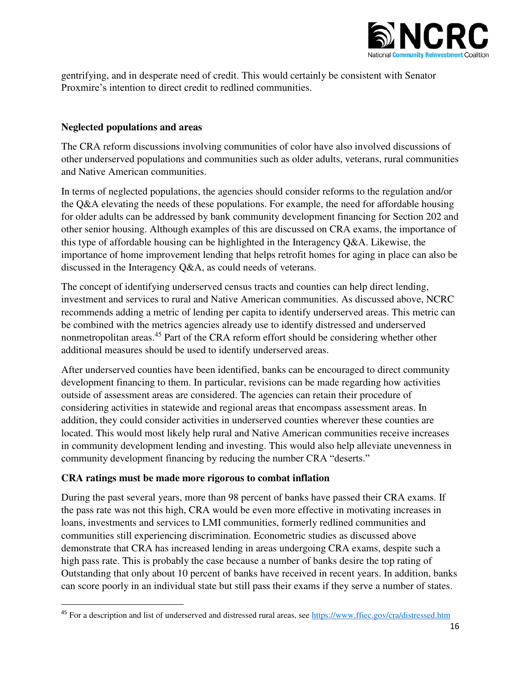

gentrifying, and in desperate need of credit. This would certainly be consistent with Senator Proxmire's intention to direct credit to redlined communities.

### **Neglected populations and areas**

The CRA reform discussions involving communities of color have also involved discussions of other underserved populations and communities such as older adults, veterans, rural communities and Native American communities.

In terms of neglected populations, the agencies should consider reforms to the regulation and/or the Q&A elevating the needs of these populations. For example, the need for affordable housing for older adults can be addressed by bank community development financing for Section 202 and other senior housing. Although examples of this are discussed on CRA exams, the importance of this type of affordable housing can be highlighted in the Interagency Q&A. Likewise, the importance of home improvement lending that helps retrofit homes for aging in place can also be discussed in the Interagency Q&A, as could needs of veterans.

The concept of identifying underserved census tracts and counties can help direct lending, investment and services to rural and Native American communities. As discussed above, NCRC recommends adding a metric of lending per capita to identify underserved areas. This metric can be combined with the metrics agencies already use to identify distressed and underserved nonmetropolitan areas.<sup>45</sup> Part of the CRA reform effort should be considering whether other additional measures should be used to identify underserved areas.

After underserved counties have been identified, banks can be encouraged to direct community development financing to them. In particular, revisions can be made regarding how activities outside of assessment areas are considered. The agencies can retain their procedure of considering activities in statewide and regional areas that encompass assessment areas. In addition, they could consider activities in underserved counties wherever these counties are located. This would most likely help rural and Native American communities receive increases in community development lending and investing. This would also help alleviate unevenness in community development financing by reducing the number CRA "deserts."

### **CRA ratings must be made more rigorous to combat inflation**

l

During the past several years, more than 98 percent of banks have passed their CRA exams. If the pass rate was not this high, CRA would be even more effective in motivating increases in loans, investments and services to LMI communities, formerly redlined communities and communities still experiencing discrimination. Econometric studies as discussed above demonstrate that CRA has increased lending in areas undergoing CRA exams, despite such a high pass rate. This is probably the case because a number of banks desire the top rating of Outstanding that only about 10 percent of banks have received in recent years. In addition, banks can score poorly in an individual state but still pass their exams if they serve a number of states.

<sup>&</sup>lt;sup>45</sup> For a description and list of underserved and distressed rural areas, see https://www.ffiec.gov/cra/distressed.htm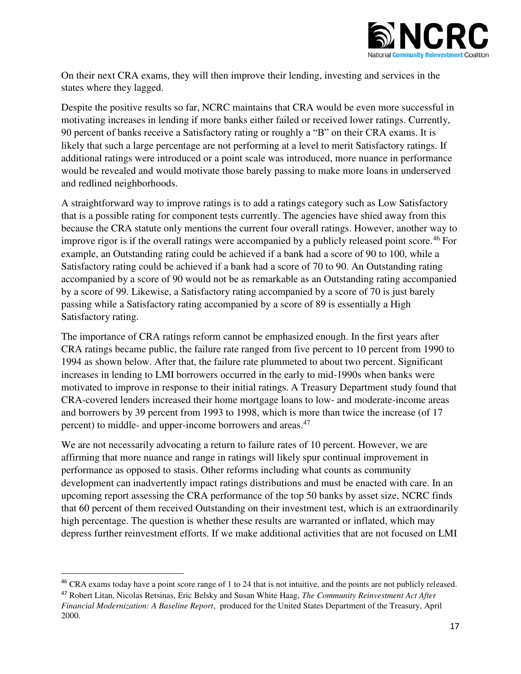

On their next CRA exams, they will then improve their lending, investing and services in the states where they lagged.

Despite the positive results so far, NCRC maintains that CRA would be even more successful in motivating increases in lending if more banks either failed or received lower ratings. Currently, 90 percent of banks receive a Satisfactory rating or roughly a "B" on their CRA exams. It is likely that such a large percentage are not performing at a level to merit Satisfactory ratings. If additional ratings were introduced or a point scale was introduced, more nuance in performance would be revealed and would motivate those barely passing to make more loans in underserved and redlined neighborhoods.

A straightforward way to improve ratings is to add a ratings category such as Low Satisfactory that is a possible rating for component tests currently. The agencies have shied away from this because the CRA statute only mentions the current four overall ratings. However, another way to improve rigor is if the overall ratings were accompanied by a publicly released point score.<sup>46</sup> For example, an Outstanding rating could be achieved if a bank had a score of 90 to 100, while a Satisfactory rating could be achieved if a bank had a score of 70 to 90. An Outstanding rating accompanied by a score of 90 would not be as remarkable as an Outstanding rating accompanied by a score of 99. Likewise, a Satisfactory rating accompanied by a score of 70 is just barely passing while a Satisfactory rating accompanied by a score of 89 is essentially a High Satisfactory rating.

The importance of CRA ratings reform cannot be emphasized enough. In the first years after CRA ratings became public, the failure rate ranged from five percent to 10 percent from 1990 to 1994 as shown below. After that, the failure rate plummeted to about two percent. Significant increases in lending to LMI borrowers occurred in the early to mid-1990s when banks were motivated to improve in response to their initial ratings. A Treasury Department study found that CRA-covered lenders increased their home mortgage loans to low- and moderate-income areas and borrowers by 39 percent from 1993 to 1998, which is more than twice the increase (of 17 percent) to middle- and upper-income borrowers and areas.<sup>47</sup>

We are not necessarily advocating a return to failure rates of 10 percent. However, we are affirming that more nuance and range in ratings will likely spur continual improvement in performance as opposed to stasis. Other reforms including what counts as community development can inadvertently impact ratings distributions and must be enacted with care. In an upcoming report assessing the CRA performance of the top 50 banks by asset size, NCRC finds that 60 percent of them received Outstanding on their investment test, which is an extraordinarily high percentage. The question is whether these results are warranted or inflated, which may depress further reinvestment efforts. If we make additional activities that are not focused on LMI

<sup>&</sup>lt;sup>46</sup> CRA exams today have a point score range of 1 to 24 that is not intuitive, and the points are not publicly released.

<sup>47</sup> Robert Litan, Nicolas Retsinas, Eric Belsky and Susan White Haag, *The Community Reinvestment Act After Financial Modernization: A Baseline Report*, produced for the United States Department of the Treasury, April 2000.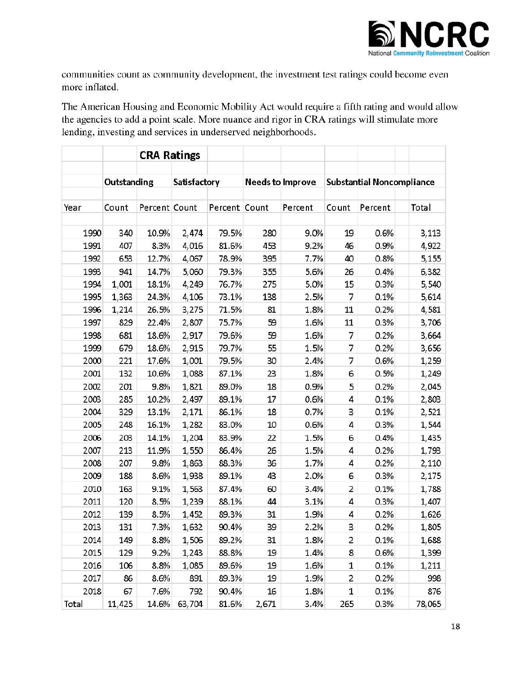

communities count as community development, the investment test ratings could become even more inflated.

The American Housing and Economic Mobility Act would require a fifth rating and would allow the agencies to add a point scale. More nuance and rigor in CRA ratings will stimulate more lending, investing and services in underserved neighborhoods.

|       | <b>CRA Ratings</b> |               |              |               |                         |         |                                  |         |        |
|-------|--------------------|---------------|--------------|---------------|-------------------------|---------|----------------------------------|---------|--------|
|       |                    |               |              |               |                         |         |                                  |         |        |
|       | Outstanding        |               | Satisfactory |               | <b>Needs to Improve</b> |         | <b>Substantial Noncompliance</b> |         |        |
|       |                    |               |              |               |                         |         |                                  |         |        |
| Year  | Count              | Percent Count |              | Percent Count |                         | Percent | Count                            | Percent | Total  |
|       |                    |               |              |               |                         |         |                                  |         |        |
| 1990  | 340                | 10.9%         | 2,474        | 79.5%         | 280                     | 9.0%    | 19                               | 0.6%    | 3,113  |
| 1991  | 407                | 8.3%          | 4,016        | 81.6%         | 453                     | 9.2%    | 46                               | 0.9%    | 4,922  |
| 1992  | 653                | 12.7%         | 4,067        | 78.9%         | 395                     | 7.7%    | 40                               | 0.8%    | 5,155  |
| 1993  | 941                | 14.7%         | 5,060        | 79.3%         | 355                     | 5.6%    | 26                               | 0.4%    | 6,382  |
| 1994  | 1,001              | 18.1%         | 4,249        | 76.7%         | 275                     | 5.0%    | 15                               | 0.3%    | 5,540  |
| 1995  | 1,363              | 24.3%         | 4,106        | 73.1%         | 138                     | 2.5%    | 7                                | 0.1%    | 5,614  |
| 1996  | 1,214              | 26.5%         | 3,275        | 71.5%         | 81                      | 1.8%    | 11                               | 0.2%    | 4,581  |
| 1997  | 829                | 22.4%         | 2,807        | 75.7%         | 59                      | 1.6%    | 11                               | 0.3%    | 3,706  |
| 1998  | 681                | 18.6%         | 2,917        | 79.6%         | 59                      | 1.6%    | 7                                | 0.2%    | 3,664  |
| 1999  | 679                | 18.6%         | 2,915        | 79.7%         | 55                      | 1.5%    | 7                                | 0.2%    | 3,656  |
| 2000  | 221                | 17.6%         | 1,001        | 79.5%         | 30                      | 2.4%    | 7                                | 0.6%    | 1,259  |
| 2001  | 132                | 10.6%         | 1,088        | 87.1%         | 23                      | 1.8%    | 6                                | 0.5%    | 1,249  |
| 2002  | 201                | 9.8%          | 1,821        | 89.0%         | 18                      | 0.9%    | 5                                | 0.2%    | 2,045  |
| 2003  | 285                | 10.2%         | 2,497        | 89.1%         | 17                      | 0.6%    | 4                                | 0.1%    | 2,803  |
| 2004  | 329                | 13.1%         | 2,171        | 86.1%         | 18                      | 0.7%    | З                                | 0.1%    | 2,521  |
| 2005  | 248                | 16.1%         | 1,282        | 83.0%         | 10                      | 0.6%    | 4                                | 0.3%    | 1,544  |
| 2006  | 203                | 14.1%         | 1,204        | 83.9%         | 22                      | 1.5%    | 6                                | 0.4%    | 1,435  |
| 2007  | 213                | 11.9%         | 1,550        | 86.4%         | 26                      | 1.5%    | 4                                | 0.2%    | 1,793  |
| 2008  | 207                | 9.8%          | 1,863        | 88.3%         | 36                      | 1.7%    | 4                                | 0.2%    | 2,110  |
| 2009  | 188                | 8.6%          | 1,938        | 89.1%         | 43                      | 2.0%    | 6                                | 0.3%    | 2,175  |
| 2010  | 163                | 9.1%          | 1,563        | 87.4%         | 60                      | 3.4%    | 2                                | 0.1%    | 1,788  |
| 2011  | 120                | 8.5%          | 1,239        | 88.1%         | 44                      | 3.1%    | 4                                | 0.3%    | 1,407  |
| 2012  | 139                | 8.5%          | 1,452        | 89.3%         | 31                      | 1.9%    | 4                                | 0.2%    | 1,626  |
| 2013  | 131                | 7.3%          | 1,632        | 90.4%         | 39                      | 2.2%    | 3                                | 0.2%    | 1,805  |
| 2014  | 149                | 8.8%          | 1,506        | 89.2%         | 31                      | 1.8%    | 2                                | 0.1%    | 1,688  |
| 2015  | 129                | 9.2%          | 1,243        | 88.8%         | 19                      | 1.4%    | 8                                | 0.6%    | 1,399  |
| 2016  | 106                | 8.8%          | 1,085        | 89.6%         | 19                      | 1.6%    | 1                                | 0.1%    | 1,211  |
| 2017  | 86                 | 8.6%          | 891          | 89.3%         | 19                      | 1.9%    | 2                                | 0.2%    | 998    |
| 2018  | 67                 | 7.6%          | 792          | 90.4%         | 16                      | 1.8%    | 1                                | 0.1%    | 876    |
| Total | 11,425             | 14.6%         | 63,704       | 81.6%         | 2,671                   | 3.4%    | 265                              | 0.3%    | 78,065 |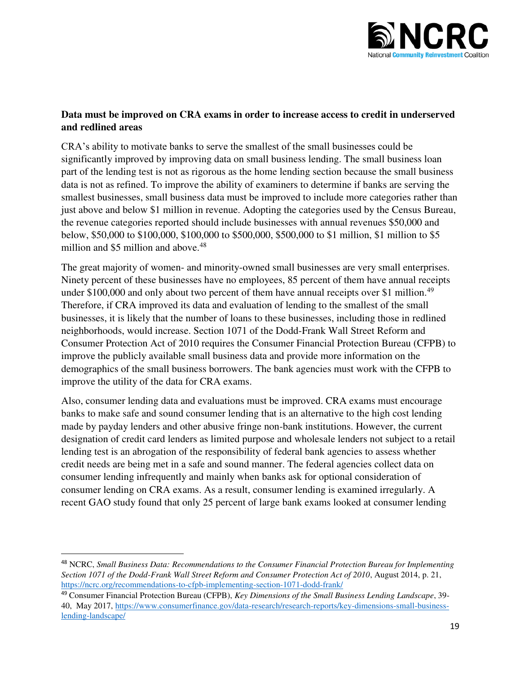

#### **Data must be improved on CRA exams in order to increase access to credit in underserved and redlined areas**

CRA's ability to motivate banks to serve the smallest of the small businesses could be significantly improved by improving data on small business lending. The small business loan part of the lending test is not as rigorous as the home lending section because the small business data is not as refined. To improve the ability of examiners to determine if banks are serving the smallest businesses, small business data must be improved to include more categories rather than just above and below \$1 million in revenue. Adopting the categories used by the Census Bureau, the revenue categories reported should include businesses with annual revenues \$50,000 and below, \$50,000 to \$100,000, \$100,000 to \$500,000, \$500,000 to \$1 million, \$1 million to \$5 million and \$5 million and above.<sup>48</sup>

The great majority of women- and minority-owned small businesses are very small enterprises. Ninety percent of these businesses have no employees, 85 percent of them have annual receipts under \$100,000 and only about two percent of them have annual receipts over \$1 million.<sup>49</sup> Therefore, if CRA improved its data and evaluation of lending to the smallest of the small businesses, it is likely that the number of loans to these businesses, including those in redlined neighborhoods, would increase. Section 1071 of the Dodd-Frank Wall Street Reform and Consumer Protection Act of 2010 requires the Consumer Financial Protection Bureau (CFPB) to improve the publicly available small business data and provide more information on the demographics of the small business borrowers. The bank agencies must work with the CFPB to improve the utility of the data for CRA exams.

Also, consumer lending data and evaluations must be improved. CRA exams must encourage banks to make safe and sound consumer lending that is an alternative to the high cost lending made by payday lenders and other abusive fringe non-bank institutions. However, the current designation of credit card lenders as limited purpose and wholesale lenders not subject to a retail lending test is an abrogation of the responsibility of federal bank agencies to assess whether credit needs are being met in a safe and sound manner. The federal agencies collect data on consumer lending infrequently and mainly when banks ask for optional consideration of consumer lending on CRA exams. As a result, consumer lending is examined irregularly. A recent GAO study found that only 25 percent of large bank exams looked at consumer lending

<sup>48</sup> NCRC, *Small Business Data: Recommendations to the Consumer Financial Protection Bureau for Implementing Section 1071 of the Dodd-Frank Wall Street Reform and Consumer Protection Act of 2010*, August 2014, p. 21, <https://ncrc.org/recommendations-to-cfpb-implementing-section-1071-dodd-frank/>

<sup>49</sup> Consumer Financial Protection Bureau (CFPB), *Key Dimensions of the Small Business Lending Landscape*, 39- 40, May 2017, [https://www.consumerfinance.gov/data-research/research-reports/key-dimensions-small-business](https://www.consumerfinance.gov/data-research/research-reports/key-dimensions-small-business-lending-landscape/)[lending-landscape/](https://www.consumerfinance.gov/data-research/research-reports/key-dimensions-small-business-lending-landscape/)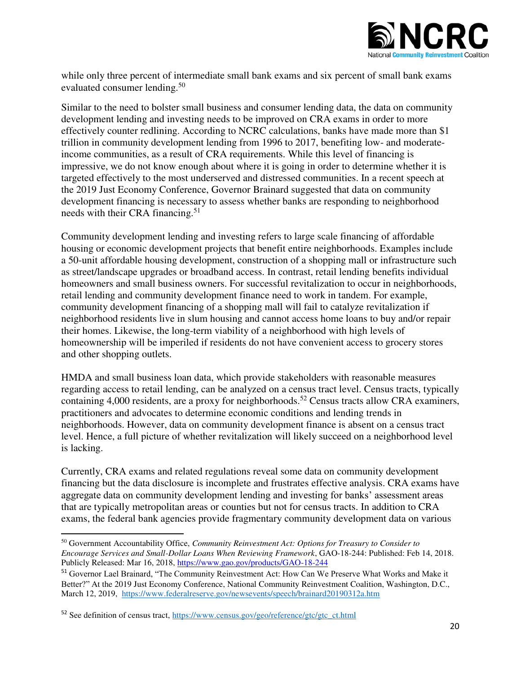

while only three percent of intermediate small bank exams and six percent of small bank exams evaluated consumer lending.<sup>50</sup>

Similar to the need to bolster small business and consumer lending data, the data on community development lending and investing needs to be improved on CRA exams in order to more effectively counter redlining. According to NCRC calculations, banks have made more than \$1 trillion in community development lending from 1996 to 2017, benefiting low- and moderateincome communities, as a result of CRA requirements. While this level of financing is impressive, we do not know enough about where it is going in order to determine whether it is targeted effectively to the most underserved and distressed communities. In a recent speech at the 2019 Just Economy Conference, Governor Brainard suggested that data on community development financing is necessary to assess whether banks are responding to neighborhood needs with their CRA financing.<sup>51</sup>

Community development lending and investing refers to large scale financing of affordable housing or economic development projects that benefit entire neighborhoods. Examples include a 50-unit affordable housing development, construction of a shopping mall or infrastructure such as street/landscape upgrades or broadband access. In contrast, retail lending benefits individual homeowners and small business owners. For successful revitalization to occur in neighborhoods, retail lending and community development finance need to work in tandem. For example, community development financing of a shopping mall will fail to catalyze revitalization if neighborhood residents live in slum housing and cannot access home loans to buy and/or repair their homes. Likewise, the long-term viability of a neighborhood with high levels of homeownership will be imperiled if residents do not have convenient access to grocery stores and other shopping outlets.

HMDA and small business loan data, which provide stakeholders with reasonable measures regarding access to retail lending, can be analyzed on a census tract level. Census tracts, typically containing 4,000 residents, are a proxy for neighborhoods.<sup>52</sup> Census tracts allow CRA examiners, practitioners and advocates to determine economic conditions and lending trends in neighborhoods. However, data on community development finance is absent on a census tract level. Hence, a full picture of whether revitalization will likely succeed on a neighborhood level is lacking.

Currently, CRA exams and related regulations reveal some data on community development financing but the data disclosure is incomplete and frustrates effective analysis. CRA exams have aggregate data on community development lending and investing for banks' assessment areas that are typically metropolitan areas or counties but not for census tracts. In addition to CRA exams, the federal bank agencies provide fragmentary community development data on various

<sup>50</sup> Government Accountability Office, *Community Reinvestment Act: Options for Treasury to Consider to Encourage Services and Small-Dollar Loans When Reviewing Framework*, GAO-18-244: Published: Feb 14, 2018. Publicly Released: Mar 16, 2018,<https://www.gao.gov/products/GAO-18-244>

<sup>&</sup>lt;sup>51</sup> Governor Lael Brainard, "The Community Reinvestment Act: How Can We Preserve What Works and Make it Better?" At the 2019 Just Economy Conference, National Community Reinvestment Coalition, Washington, D.C., March 12, 2019, <https://www.federalreserve.gov/newsevents/speech/brainard20190312a.htm>

<sup>52</sup> See definition of census tract, [https://www.census.gov/geo/reference/gtc/gtc\\_ct.html](https://www.census.gov/geo/reference/gtc/gtc_ct.html)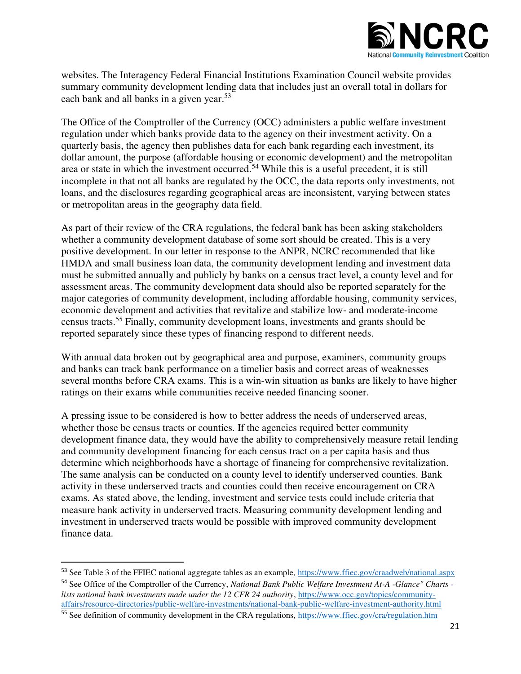

websites. The Interagency Federal Financial Institutions Examination Council website provides summary community development lending data that includes just an overall total in dollars for each bank and all banks in a given year.<sup>53</sup>

The Office of the Comptroller of the Currency (OCC) administers a public welfare investment regulation under which banks provide data to the agency on their investment activity. On a quarterly basis, the agency then publishes data for each bank regarding each investment, its dollar amount, the purpose (affordable housing or economic development) and the metropolitan area or state in which the investment occurred.<sup>54</sup> While this is a useful precedent, it is still incomplete in that not all banks are regulated by the OCC, the data reports only investments, not loans, and the disclosures regarding geographical areas are inconsistent, varying between states or metropolitan areas in the geography data field.

As part of their review of the CRA regulations, the federal bank has been asking stakeholders whether a community development database of some sort should be created. This is a very positive development. In our letter in response to the ANPR, NCRC recommended that like HMDA and small business loan data, the community development lending and investment data must be submitted annually and publicly by banks on a census tract level, a county level and for assessment areas. The community development data should also be reported separately for the major categories of community development, including affordable housing, community services, economic development and activities that revitalize and stabilize low- and moderate-income census tracts.<sup>55</sup> Finally, community development loans, investments and grants should be reported separately since these types of financing respond to different needs.

With annual data broken out by geographical area and purpose, examiners, community groups and banks can track bank performance on a timelier basis and correct areas of weaknesses several months before CRA exams. This is a win-win situation as banks are likely to have higher ratings on their exams while communities receive needed financing sooner.

A pressing issue to be considered is how to better address the needs of underserved areas, whether those be census tracts or counties. If the agencies required better community development finance data, they would have the ability to comprehensively measure retail lending and community development financing for each census tract on a per capita basis and thus determine which neighborhoods have a shortage of financing for comprehensive revitalization. The same analysis can be conducted on a county level to identify underserved counties. Bank activity in these underserved tracts and counties could then receive encouragement on CRA exams. As stated above, the lending, investment and service tests could include criteria that measure bank activity in underserved tracts. Measuring community development lending and investment in underserved tracts would be possible with improved community development finance data.

 $\overline{a}$ 

<sup>53</sup> See Table 3 of the FFIEC national aggregate tables as an example,<https://www.ffiec.gov/craadweb/national.aspx>

<sup>54</sup> See Office of the Comptroller of the Currency, *National Bank Public Welfare Investment At-A -Glance" Charts lists national bank investments made under the 12 CFR 24 authority*, [https://www.occ.gov/topics/community](https://www.occ.gov/topics/community-affairs/resource-directories/public-welfare-investments/national-bank-public-welfare-investment-authority.html)[affairs/resource-directories/public-welfare-investments/national-bank-public-welfare-investment-authority.html](https://www.occ.gov/topics/community-affairs/resource-directories/public-welfare-investments/national-bank-public-welfare-investment-authority.html)  <sup>55</sup> See definition of community development in the CRA regulations,<https://www.ffiec.gov/cra/regulation.htm>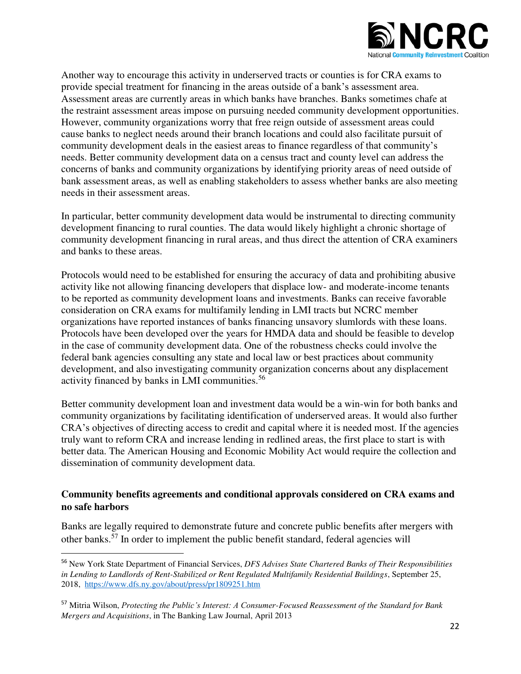

Another way to encourage this activity in underserved tracts or counties is for CRA exams to provide special treatment for financing in the areas outside of a bank's assessment area. Assessment areas are currently areas in which banks have branches. Banks sometimes chafe at the restraint assessment areas impose on pursuing needed community development opportunities. However, community organizations worry that free reign outside of assessment areas could cause banks to neglect needs around their branch locations and could also facilitate pursuit of community development deals in the easiest areas to finance regardless of that community's needs. Better community development data on a census tract and county level can address the concerns of banks and community organizations by identifying priority areas of need outside of bank assessment areas, as well as enabling stakeholders to assess whether banks are also meeting needs in their assessment areas.

In particular, better community development data would be instrumental to directing community development financing to rural counties. The data would likely highlight a chronic shortage of community development financing in rural areas, and thus direct the attention of CRA examiners and banks to these areas.

Protocols would need to be established for ensuring the accuracy of data and prohibiting abusive activity like not allowing financing developers that displace low- and moderate-income tenants to be reported as community development loans and investments. Banks can receive favorable consideration on CRA exams for multifamily lending in LMI tracts but NCRC member organizations have reported instances of banks financing unsavory slumlords with these loans. Protocols have been developed over the years for HMDA data and should be feasible to develop in the case of community development data. One of the robustness checks could involve the federal bank agencies consulting any state and local law or best practices about community development, and also investigating community organization concerns about any displacement activity financed by banks in LMI communities.<sup>56</sup>

Better community development loan and investment data would be a win-win for both banks and community organizations by facilitating identification of underserved areas. It would also further CRA's objectives of directing access to credit and capital where it is needed most. If the agencies truly want to reform CRA and increase lending in redlined areas, the first place to start is with better data. The American Housing and Economic Mobility Act would require the collection and dissemination of community development data.

#### **Community benefits agreements and conditional approvals considered on CRA exams and no safe harbors**

Banks are legally required to demonstrate future and concrete public benefits after mergers with other banks.<sup>57</sup> In order to implement the public benefit standard, federal agencies will

<sup>56</sup> New York State Department of Financial Services, *DFS Advises State Chartered Banks of Their Responsibilities in Lending to Landlords of Rent-Stabilized or Rent Regulated Multifamily Residential Buildings*, September 25, 2018,<https://www.dfs.ny.gov/about/press/pr1809251.htm>

<sup>57</sup> Mitria Wilson, *Protecting the Public's Interest: A Consumer-Focused Reassessment of the Standard for Bank Mergers and Acquisitions*, in The Banking Law Journal, April 2013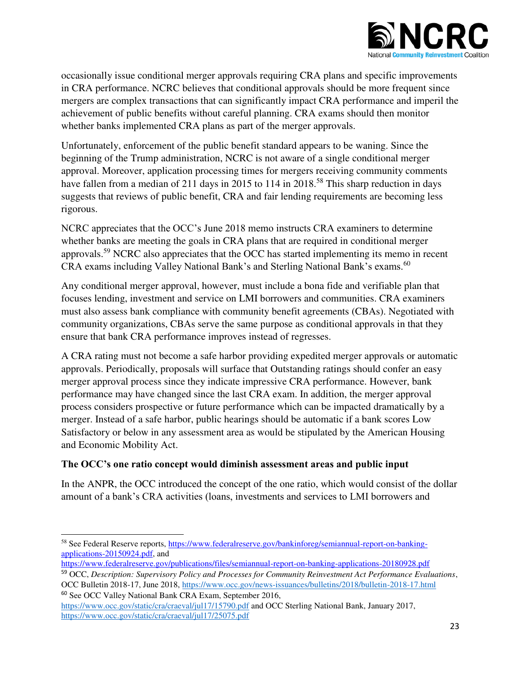

occasionally issue conditional merger approvals requiring CRA plans and specific improvements in CRA performance. NCRC believes that conditional approvals should be more frequent since mergers are complex transactions that can significantly impact CRA performance and imperil the achievement of public benefits without careful planning. CRA exams should then monitor whether banks implemented CRA plans as part of the merger approvals.

Unfortunately, enforcement of the public benefit standard appears to be waning. Since the beginning of the Trump administration, NCRC is not aware of a single conditional merger approval. Moreover, application processing times for mergers receiving community comments have fallen from a median of 211 days in 2015 to 114 in 2018.<sup>58</sup> This sharp reduction in days suggests that reviews of public benefit, CRA and fair lending requirements are becoming less rigorous.

NCRC appreciates that the OCC's June 2018 memo instructs CRA examiners to determine whether banks are meeting the goals in CRA plans that are required in conditional merger approvals.<sup>59</sup> NCRC also appreciates that the OCC has started implementing its memo in recent CRA exams including Valley National Bank's and Sterling National Bank's exams.<sup>60</sup>

Any conditional merger approval, however, must include a bona fide and verifiable plan that focuses lending, investment and service on LMI borrowers and communities. CRA examiners must also assess bank compliance with community benefit agreements (CBAs). Negotiated with community organizations, CBAs serve the same purpose as conditional approvals in that they ensure that bank CRA performance improves instead of regresses.

A CRA rating must not become a safe harbor providing expedited merger approvals or automatic approvals. Periodically, proposals will surface that Outstanding ratings should confer an easy merger approval process since they indicate impressive CRA performance. However, bank performance may have changed since the last CRA exam. In addition, the merger approval process considers prospective or future performance which can be impacted dramatically by a merger. Instead of a safe harbor, public hearings should be automatic if a bank scores Low Satisfactory or below in any assessment area as would be stipulated by the American Housing and Economic Mobility Act.

### **The OCC's one ratio concept would diminish assessment areas and public input**

In the ANPR, the OCC introduced the concept of the one ratio, which would consist of the dollar amount of a bank's CRA activities (loans, investments and services to LMI borrowers and

 $\overline{\phantom{0}}$ 58 See Federal Reserve reports, [https://www.federalreserve.gov/bankinforeg/semiannual-report-on-banking](https://www.federalreserve.gov/bankinforeg/semiannual-report-on-banking-applications-20150924.pdf)[applications-20150924.pdf,](https://www.federalreserve.gov/bankinforeg/semiannual-report-on-banking-applications-20150924.pdf) and

<https://www.federalreserve.gov/publications/files/semiannual-report-on-banking-applications-20180928.pdf>

<sup>59</sup> OCC, *Description: Supervisory Policy and Processes for Community Reinvestment Act Performance Evaluations*, OCC Bulletin 2018-17, June 2018,<https://www.occ.gov/news-issuances/bulletins/2018/bulletin-2018-17.html> <sup>60</sup> See OCC Valley National Bank CRA Exam, September 2016,

<https://www.occ.gov/static/cra/craeval/jul17/15790.pdf>and OCC Sterling National Bank, January 2017, <https://www.occ.gov/static/cra/craeval/jul17/25075.pdf>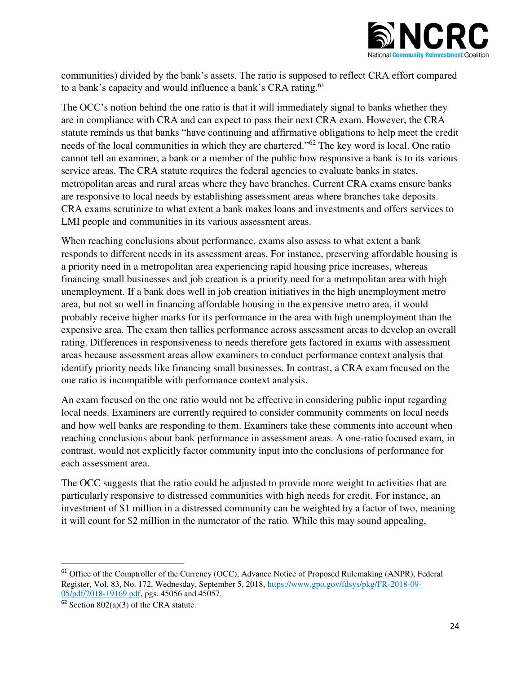

communities) divided by the bank's assets. The ratio is supposed to reflect CRA effort compared to a bank's capacity and would influence a bank's CRA rating.<sup>61</sup>

The OCC's notion behind the one ratio is that it will immediately signal to banks whether they are in compliance with CRA and can expect to pass their next CRA exam. However, the CRA statute reminds us that banks "have continuing and affirmative obligations to help meet the credit needs of the local communities in which they are chartered."<sup>62</sup> The key word is local. One ratio cannot tell an examiner, a bank or a member of the public how responsive a bank is to its various service areas. The CRA statute requires the federal agencies to evaluate banks in states, metropolitan areas and rural areas where they have branches. Current CRA exams ensure banks are responsive to local needs by establishing assessment areas where branches take deposits. CRA exams scrutinize to what extent a bank makes loans and investments and offers services to LMI people and communities in its various assessment areas.

When reaching conclusions about performance, exams also assess to what extent a bank responds to different needs in its assessment areas. For instance, preserving affordable housing is a priority need in a metropolitan area experiencing rapid housing price increases, whereas financing small businesses and job creation is a priority need for a metropolitan area with high unemployment. If a bank does well in job creation initiatives in the high unemployment metro area, but not so well in financing affordable housing in the expensive metro area, it would probably receive higher marks for its performance in the area with high unemployment than the expensive area. The exam then tallies performance across assessment areas to develop an overall rating. Differences in responsiveness to needs therefore gets factored in exams with assessment areas because assessment areas allow examiners to conduct performance context analysis that identify priority needs like financing small businesses. In contrast, a CRA exam focused on the one ratio is incompatible with performance context analysis.

An exam focused on the one ratio would not be effective in considering public input regarding local needs. Examiners are currently required to consider community comments on local needs and how well banks are responding to them. Examiners take these comments into account when reaching conclusions about bank performance in assessment areas. A one-ratio focused exam, in contrast, would not explicitly factor community input into the conclusions of performance for each assessment area.

The OCC suggests that the ratio could be adjusted to provide more weight to activities that are particularly responsive to distressed communities with high needs for credit. For instance, an investment of \$1 million in a distressed community can be weighted by a factor of two, meaning it will count for \$2 million in the numerator of the ratio*.* While this may sound appealing,

 $\overline{a}$ 

<sup>&</sup>lt;sup>61</sup> Office of the Comptroller of the Currency (OCC), Advance Notice of Proposed Rulemaking (ANPR), Federal Register, Vol. 83, No. 172, Wednesday, September 5, 2018, [https://www.gpo.gov/fdsys/pkg/FR-2018-09-](https://www.gpo.gov/fdsys/pkg/FR-2018-09-05/pdf/2018-19169.pdf) [05/pdf/2018-19169.pdf,](https://www.gpo.gov/fdsys/pkg/FR-2018-09-05/pdf/2018-19169.pdf) pgs. 45056 and 45057.

 $62$  Section 802(a)(3) of the CRA statute.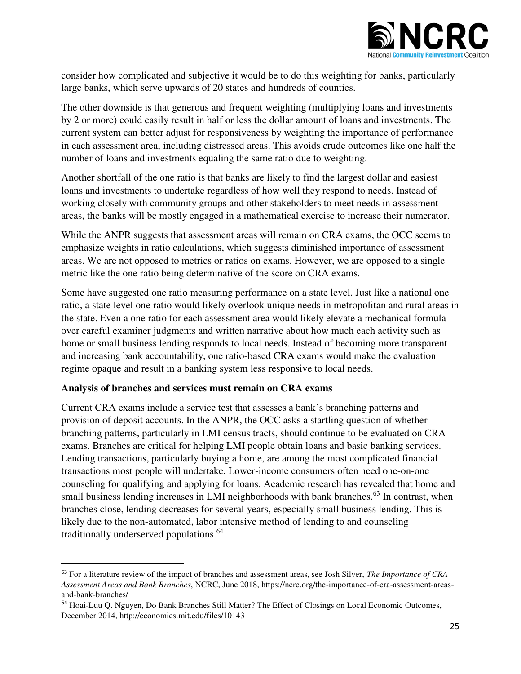

consider how complicated and subjective it would be to do this weighting for banks, particularly large banks, which serve upwards of 20 states and hundreds of counties.

The other downside is that generous and frequent weighting (multiplying loans and investments by 2 or more) could easily result in half or less the dollar amount of loans and investments. The current system can better adjust for responsiveness by weighting the importance of performance in each assessment area, including distressed areas. This avoids crude outcomes like one half the number of loans and investments equaling the same ratio due to weighting.

Another shortfall of the one ratio is that banks are likely to find the largest dollar and easiest loans and investments to undertake regardless of how well they respond to needs. Instead of working closely with community groups and other stakeholders to meet needs in assessment areas, the banks will be mostly engaged in a mathematical exercise to increase their numerator.

While the ANPR suggests that assessment areas will remain on CRA exams, the OCC seems to emphasize weights in ratio calculations, which suggests diminished importance of assessment areas. We are not opposed to metrics or ratios on exams. However, we are opposed to a single metric like the one ratio being determinative of the score on CRA exams.

Some have suggested one ratio measuring performance on a state level. Just like a national one ratio, a state level one ratio would likely overlook unique needs in metropolitan and rural areas in the state. Even a one ratio for each assessment area would likely elevate a mechanical formula over careful examiner judgments and written narrative about how much each activity such as home or small business lending responds to local needs. Instead of becoming more transparent and increasing bank accountability, one ratio-based CRA exams would make the evaluation regime opaque and result in a banking system less responsive to local needs.

### **Analysis of branches and services must remain on CRA exams**

 $\overline{a}$ 

Current CRA exams include a service test that assesses a bank's branching patterns and provision of deposit accounts. In the ANPR, the OCC asks a startling question of whether branching patterns, particularly in LMI census tracts, should continue to be evaluated on CRA exams. Branches are critical for helping LMI people obtain loans and basic banking services. Lending transactions, particularly buying a home, are among the most complicated financial transactions most people will undertake. Lower-income consumers often need one-on-one counseling for qualifying and applying for loans. Academic research has revealed that home and small business lending increases in LMI neighborhoods with bank branches.<sup>63</sup> In contrast, when branches close, lending decreases for several years, especially small business lending. This is likely due to the non-automated, labor intensive method of lending to and counseling traditionally underserved populations.<sup>64</sup>

<sup>63</sup> For a literature review of the impact of branches and assessment areas, see Josh Silver, *The Importance of CRA Assessment Areas and Bank Branches*, NCRC, June 2018, https://ncrc.org/the-importance-of-cra-assessment-areasand-bank-branches/

<sup>&</sup>lt;sup>64</sup> Hoai-Luu Q. Nguyen, Do Bank Branches Still Matter? The Effect of Closings on Local Economic Outcomes, December 2014, http://economics.mit.edu/files/10143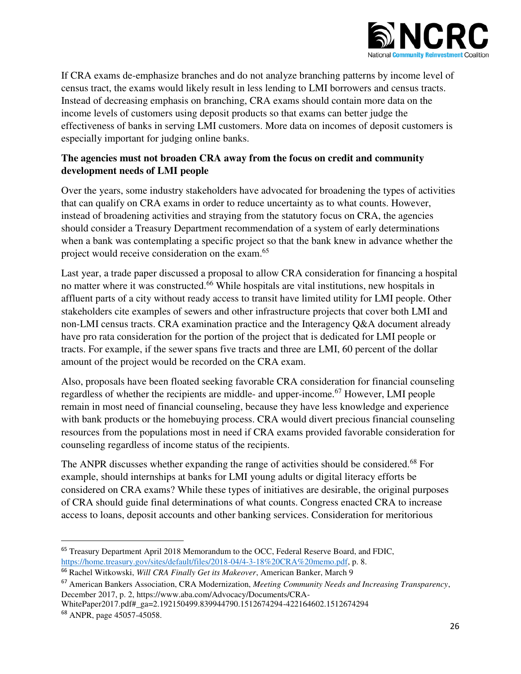

If CRA exams de-emphasize branches and do not analyze branching patterns by income level of census tract, the exams would likely result in less lending to LMI borrowers and census tracts. Instead of decreasing emphasis on branching, CRA exams should contain more data on the income levels of customers using deposit products so that exams can better judge the effectiveness of banks in serving LMI customers. More data on incomes of deposit customers is especially important for judging online banks.

# **The agencies must not broaden CRA away from the focus on credit and community development needs of LMI people**

Over the years, some industry stakeholders have advocated for broadening the types of activities that can qualify on CRA exams in order to reduce uncertainty as to what counts. However, instead of broadening activities and straying from the statutory focus on CRA, the agencies should consider a Treasury Department recommendation of a system of early determinations when a bank was contemplating a specific project so that the bank knew in advance whether the project would receive consideration on the exam.<sup>65</sup>

Last year, a trade paper discussed a proposal to allow CRA consideration for financing a hospital no matter where it was constructed.<sup>66</sup> While hospitals are vital institutions, new hospitals in affluent parts of a city without ready access to transit have limited utility for LMI people. Other stakeholders cite examples of sewers and other infrastructure projects that cover both LMI and non-LMI census tracts. CRA examination practice and the Interagency Q&A document already have pro rata consideration for the portion of the project that is dedicated for LMI people or tracts. For example, if the sewer spans five tracts and three are LMI, 60 percent of the dollar amount of the project would be recorded on the CRA exam.

Also, proposals have been floated seeking favorable CRA consideration for financial counseling regardless of whether the recipients are middle- and upper-income.<sup>67</sup> However, LMI people remain in most need of financial counseling, because they have less knowledge and experience with bank products or the homebuying process. CRA would divert precious financial counseling resources from the populations most in need if CRA exams provided favorable consideration for counseling regardless of income status of the recipients.

The ANPR discusses whether expanding the range of activities should be considered.<sup>68</sup> For example, should internships at banks for LMI young adults or digital literacy efforts be considered on CRA exams? While these types of initiatives are desirable, the original purposes of CRA should guide final determinations of what counts. Congress enacted CRA to increase access to loans, deposit accounts and other banking services. Consideration for meritorious

<sup>&</sup>lt;sup>65</sup> Treasury Department April 2018 Memorandum to the OCC, Federal Reserve Board, and FDIC, [https://home.treasury.gov/sites/default/files/2018-04/4-3-18%20CRA%20memo.pdf,](https://home.treasury.gov/sites/default/files/2018-04/4-3-18%20CRA%20memo.pdf) p. 8.

<sup>66</sup> Rachel Witkowski, *Will CRA Finally Get its Makeover*, American Banker, March 9

<sup>67</sup> American Bankers Association, CRA Modernization, *Meeting Community Needs and Increasing Transparency*, December 2017, p. 2, https://www.aba.com/Advocacy/Documents/CRA-

WhitePaper2017.pdf#\_ga=2.192150499.839944790.1512674294-422164602.1512674294 <sup>68</sup> ANPR, page 45057-45058.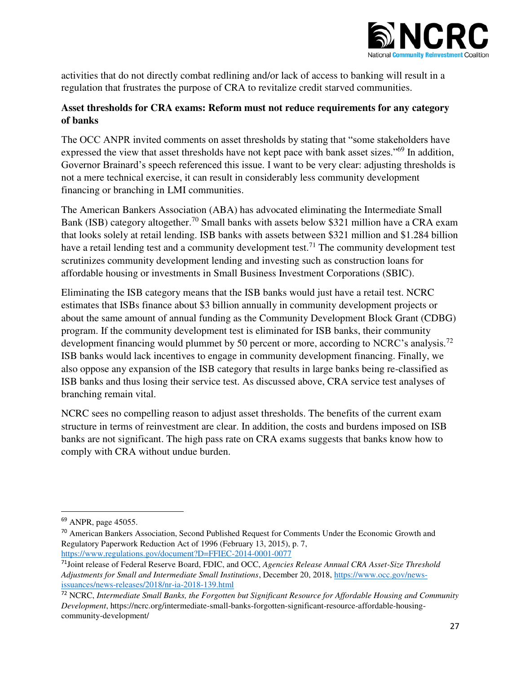

activities that do not directly combat redlining and/or lack of access to banking will result in a regulation that frustrates the purpose of CRA to revitalize credit starved communities.

# **Asset thresholds for CRA exams: Reform must not reduce requirements for any category of banks**

The OCC ANPR invited comments on asset thresholds by stating that "some stakeholders have expressed the view that asset thresholds have not kept pace with bank asset sizes."<sup>69</sup> In addition, Governor Brainard's speech referenced this issue. I want to be very clear: adjusting thresholds is not a mere technical exercise, it can result in considerably less community development financing or branching in LMI communities.

The American Bankers Association (ABA) has advocated eliminating the Intermediate Small Bank (ISB) category altogether.<sup>70</sup> Small banks with assets below \$321 million have a CRA exam that looks solely at retail lending. ISB banks with assets between \$321 million and \$1.284 billion have a retail lending test and a community development test.<sup>71</sup> The community development test scrutinizes community development lending and investing such as construction loans for affordable housing or investments in Small Business Investment Corporations (SBIC).

Eliminating the ISB category means that the ISB banks would just have a retail test. NCRC estimates that ISBs finance about \$3 billion annually in community development projects or about the same amount of annual funding as the Community Development Block Grant (CDBG) program. If the community development test is eliminated for ISB banks, their community development financing would plummet by 50 percent or more, according to NCRC's analysis.<sup>72</sup> ISB banks would lack incentives to engage in community development financing. Finally, we also oppose any expansion of the ISB category that results in large banks being re-classified as ISB banks and thus losing their service test. As discussed above, CRA service test analyses of branching remain vital.

NCRC sees no compelling reason to adjust asset thresholds. The benefits of the current exam structure in terms of reinvestment are clear. In addition, the costs and burdens imposed on ISB banks are not significant. The high pass rate on CRA exams suggests that banks know how to comply with CRA without undue burden.

<sup>69</sup> ANPR, page 45055.

<sup>&</sup>lt;sup>70</sup> American Bankers Association, Second Published Request for Comments Under the Economic Growth and Regulatory Paperwork Reduction Act of 1996 (February 13, 2015), p. 7, <https://www.regulations.gov/document?D=FFIEC-2014-0001-0077>

<sup>71</sup>Joint release of Federal Reserve Board, FDIC, and OCC, *Agencies Release Annual CRA Asset-Size Threshold Adjustments for Small and Intermediate Small Institutions*, December 20, 2018, [https://www.occ.gov/news](https://www.occ.gov/news-issuances/news-releases/2018/nr-ia-2018-139.html)[issuances/news-releases/2018/nr-ia-2018-139.html](https://www.occ.gov/news-issuances/news-releases/2018/nr-ia-2018-139.html) 

<sup>72</sup> NCRC, *Intermediate Small Banks, the Forgotten but Significant Resource for Affordable Housing and Community Development*, https://ncrc.org/intermediate-small-banks-forgotten-significant-resource-affordable-housingcommunity-development/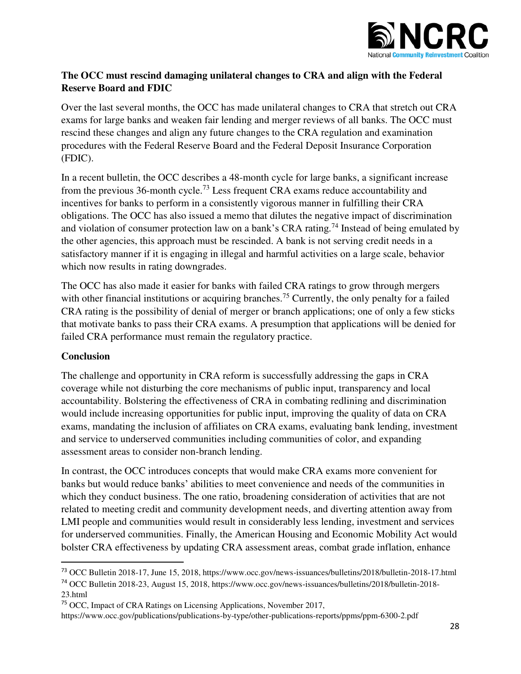

### **The OCC must rescind damaging unilateral changes to CRA and align with the Federal Reserve Board and FDIC**

Over the last several months, the OCC has made unilateral changes to CRA that stretch out CRA exams for large banks and weaken fair lending and merger reviews of all banks. The OCC must rescind these changes and align any future changes to the CRA regulation and examination procedures with the Federal Reserve Board and the Federal Deposit Insurance Corporation (FDIC).

In a recent bulletin, the OCC describes a 48-month cycle for large banks, a significant increase from the previous 36-month cycle.<sup>73</sup> Less frequent CRA exams reduce accountability and incentives for banks to perform in a consistently vigorous manner in fulfilling their CRA obligations. The OCC has also issued a memo that dilutes the negative impact of discrimination and violation of consumer protection law on a bank's CRA rating.<sup>74</sup> Instead of being emulated by the other agencies, this approach must be rescinded. A bank is not serving credit needs in a satisfactory manner if it is engaging in illegal and harmful activities on a large scale, behavior which now results in rating downgrades.

The OCC has also made it easier for banks with failed CRA ratings to grow through mergers with other financial institutions or acquiring branches.<sup>75</sup> Currently, the only penalty for a failed CRA rating is the possibility of denial of merger or branch applications; one of only a few sticks that motivate banks to pass their CRA exams. A presumption that applications will be denied for failed CRA performance must remain the regulatory practice.

### **Conclusion**

 $\overline{a}$ 

The challenge and opportunity in CRA reform is successfully addressing the gaps in CRA coverage while not disturbing the core mechanisms of public input, transparency and local accountability. Bolstering the effectiveness of CRA in combating redlining and discrimination would include increasing opportunities for public input, improving the quality of data on CRA exams, mandating the inclusion of affiliates on CRA exams, evaluating bank lending, investment and service to underserved communities including communities of color, and expanding assessment areas to consider non-branch lending.

In contrast, the OCC introduces concepts that would make CRA exams more convenient for banks but would reduce banks' abilities to meet convenience and needs of the communities in which they conduct business. The one ratio, broadening consideration of activities that are not related to meeting credit and community development needs, and diverting attention away from LMI people and communities would result in considerably less lending, investment and services for underserved communities. Finally, the American Housing and Economic Mobility Act would bolster CRA effectiveness by updating CRA assessment areas, combat grade inflation, enhance

<sup>74</sup> OCC Bulletin 2018-23, August 15, 2018, https://www.occ.gov/news-issuances/bulletins/2018/bulletin-2018- 23.html

<sup>73</sup> OCC Bulletin 2018-17, June 15, 2018, https://www.occ.gov/news-issuances/bulletins/2018/bulletin-2018-17.html

<sup>75</sup> OCC, Impact of CRA Ratings on Licensing Applications, November 2017,

https://www.occ.gov/publications/publications-by-type/other-publications-reports/ppms/ppm-6300-2.pdf